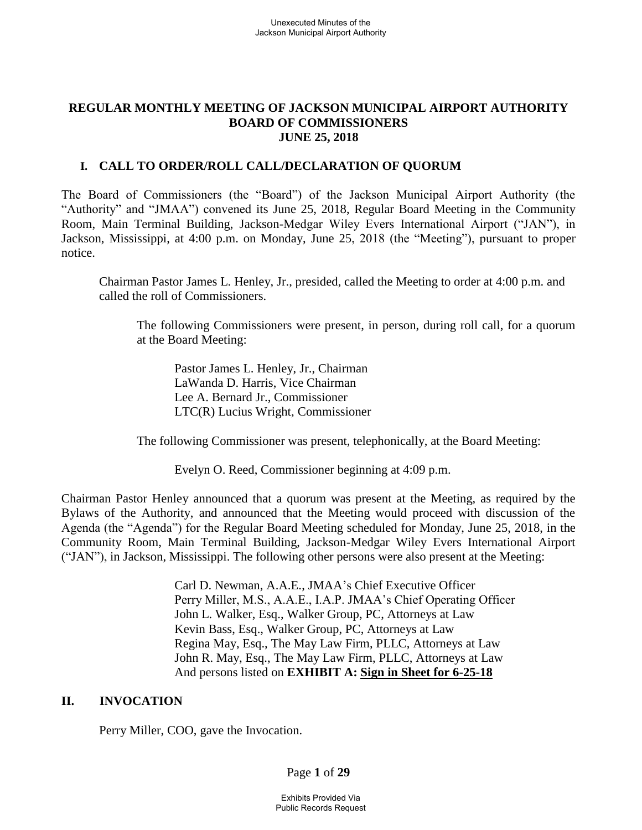#### **REGULAR MONTHLY MEETING OF JACKSON MUNICIPAL AIRPORT AUTHORITY BOARD OF COMMISSIONERS JUNE 25, 2018**

### **I. CALL TO ORDER/ROLL CALL/DECLARATION OF QUORUM**

The Board of Commissioners (the "Board") of the Jackson Municipal Airport Authority (the "Authority" and "JMAA") convened its June 25, 2018, Regular Board Meeting in the Community Room, Main Terminal Building, Jackson-Medgar Wiley Evers International Airport ("JAN"), in Jackson, Mississippi, at 4:00 p.m. on Monday, June 25, 2018 (the "Meeting"), pursuant to proper notice.

Chairman Pastor James L. Henley, Jr., presided, called the Meeting to order at 4:00 p.m. and called the roll of Commissioners.

The following Commissioners were present, in person, during roll call, for a quorum at the Board Meeting:

Pastor James L. Henley, Jr., Chairman LaWanda D. Harris, Vice Chairman Lee A. Bernard Jr., Commissioner LTC(R) Lucius Wright, Commissioner

The following Commissioner was present, telephonically, at the Board Meeting:

Evelyn O. Reed, Commissioner beginning at 4:09 p.m.

Chairman Pastor Henley announced that a quorum was present at the Meeting, as required by the Bylaws of the Authority, and announced that the Meeting would proceed with discussion of the Agenda (the "Agenda") for the Regular Board Meeting scheduled for Monday, June 25, 2018, in the Community Room, Main Terminal Building, Jackson-Medgar Wiley Evers International Airport ("JAN"), in Jackson, Mississippi. The following other persons were also present at the Meeting:

> Carl D. Newman, A.A.E., JMAA's Chief Executive Officer Perry Miller, M.S., A.A.E., I.A.P. JMAA's Chief Operating Officer John L. Walker, Esq., Walker Group, PC, Attorneys at Law Kevin Bass, Esq., Walker Group, PC, Attorneys at Law Regina May, Esq., The May Law Firm, PLLC, Attorneys at Law John R. May, Esq., The May Law Firm, PLLC, Attorneys at Law And persons listed on **EXHIBIT A: Sign [in](../../2017-07-27%20Board%20Meeting/2016-09-22%20Board%20Meeting/Rescheduled%20Regular%20Board%20Meeting%20Sign%20in%20Sheet%20August%2029%202016.pdf) [Sheet](../../2017-07-27%20Board%20Meeting/Drafts/2017-MAR%2027-bmr.pdf) for 6-25-18**

#### **II. INVOCATION**

Perry Miller, COO, gave the Invocation.

Page **1** of **29**

Exhibits Provided Via Public Records Request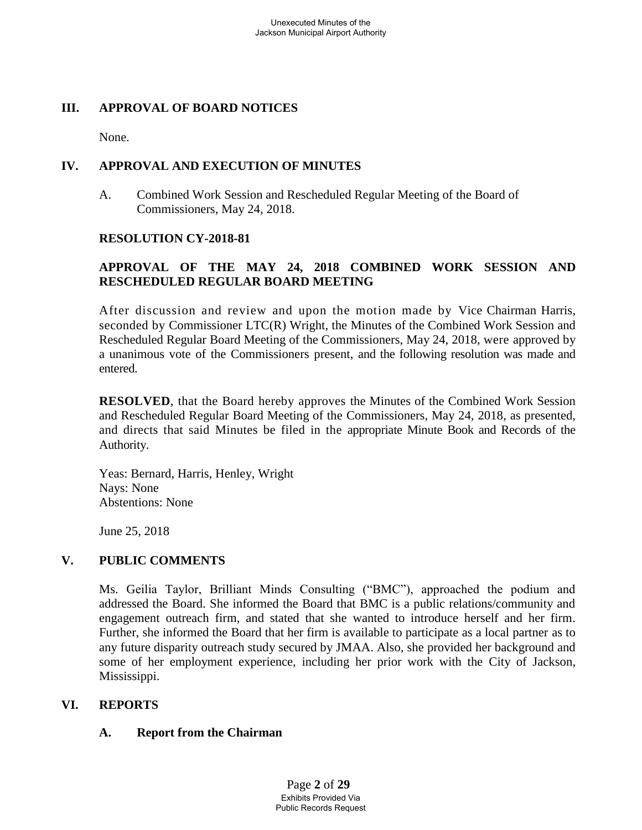## **III. APPROVAL OF BOARD NOTICES**

None.

# **IV. APPROVAL AND EXECUTION OF MINUTES**

A. Combined Work Session and Rescheduled Regular Meeting of the Board of Commissioners, May 24, 2018.

## **RESOLUTION CY-2018-81**

# **APPROVAL OF THE MAY 24, 2018 COMBINED WORK SESSION AND RESCHEDULED REGULAR BOARD MEETING**

After discussion and review and upon the motion made by Vice Chairman Harris, seconded by Commissioner LTC(R) Wright, the Minutes of the Combined Work Session and Rescheduled Regular Board Meeting of the Commissioners, May 24, 2018, were approved by a unanimous vote of the Commissioners present, and the following resolution was made and entered.

**RESOLVED**, that the Board hereby approves the Minutes of the Combined Work Session and Rescheduled Regular Board Meeting of the Commissioners, May 24, 2018, as presented, and directs that said Minutes be filed in the appropriate Minute Book and Records of the Authority.

Yeas: Bernard, Harris, Henley, Wright Nays: None Abstentions: None

June 25, 2018

# **V. PUBLIC COMMENTS**

Ms. Geilia Taylor, Brilliant Minds Consulting ("BMC"), approached the podium and addressed the Board. She informed the Board that BMC is a public relations/community and engagement outreach firm, and stated that she wanted to introduce herself and her firm. Further, she informed the Board that her firm is available to participate as a local partner as to any future disparity outreach study secured by JMAA. Also, she provided her background and some of her employment experience, including her prior work with the City of Jackson, Mississippi.

## **VI. REPORTS**

## **A. Report from the Chairman**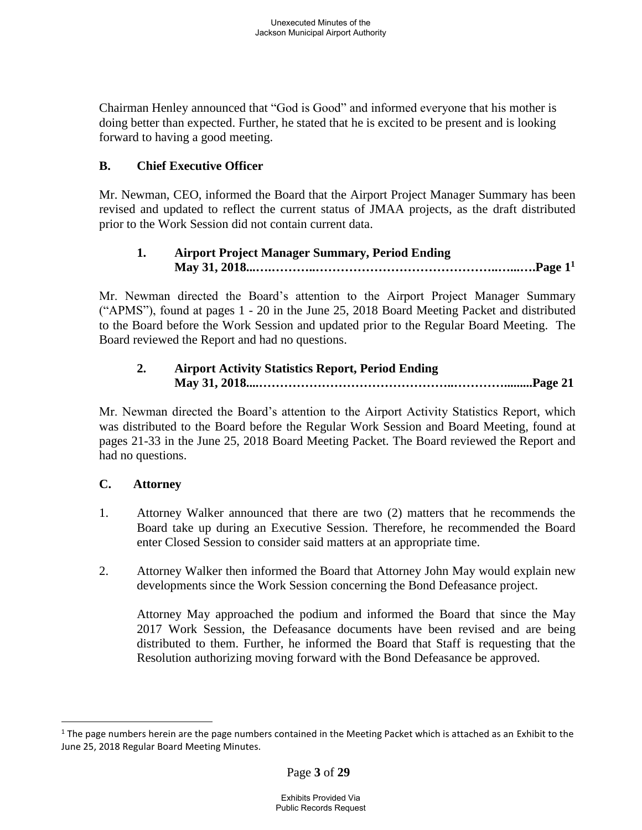Chairman Henley announced that "God is Good" and informed everyone that his mother is doing better than expected. Further, he stated that he is excited to be present and is looking forward to having a good meeting.

# **B. Chief Executive Officer**

Mr. Newman, CEO, informed the Board that the Airport Project Manager Summary has been revised and updated to reflect the current status of JMAA projects, as the draft distributed prior to the Work Session did not contain current data.

# **1. Airport Project Manager Summary, Period Ending May 31, 2018...….………..……………………………………..…...….Page 1 1**

Mr. Newman directed the Board's attention to the Airport Project Manager Summary ("APMS"), found at pages 1 - 20 in the June 25, 2018 Board Meeting Packet and distributed to the Board before the Work Session and updated prior to the Regular Board Meeting. The Board reviewed the Report and had no questions.

# **2. Airport Activity Statistics Report, Period Ending May 31, 2018....………………………………………..………….........Page 21**

Mr. Newman directed the Board's attention to the Airport Activity Statistics Report, which was distributed to the Board before the Regular Work Session and Board Meeting, found at pages 21-33 in the June 25, 2018 Board Meeting Packet. The Board reviewed the Report and had no questions.

# **C. Attorney**

 $\overline{a}$ 

- 1. Attorney Walker announced that there are two (2) matters that he recommends the Board take up during an Executive Session. Therefore, he recommended the Board enter Closed Session to consider said matters at an appropriate time.
- 2. Attorney Walker then informed the Board that Attorney John May would explain new developments since the Work Session concerning the Bond Defeasance project.

Attorney May approached the podium and informed the Board that since the May 2017 Work Session, the Defeasance documents have been revised and are being distributed to them. Further, he informed the Board that Staff is requesting that the Resolution authorizing moving forward with the Bond Defeasance be approved.

 $1$  The page numbers herein are the page numbers contained in the Meeting Packet which is attached as an Exhibit to the June 25, 2018 Regular Board Meeting Minutes.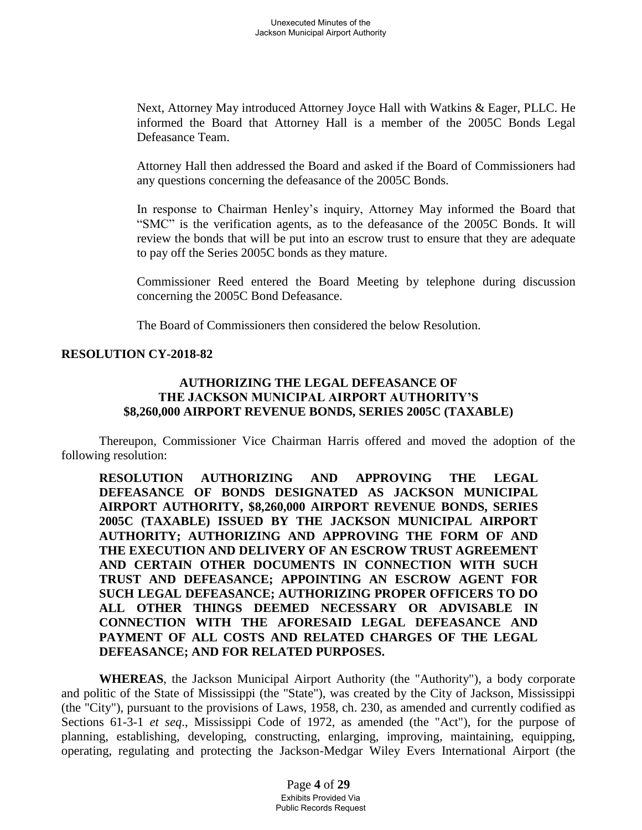Next, Attorney May introduced Attorney Joyce Hall with Watkins & Eager, PLLC. He informed the Board that Attorney Hall is a member of the 2005C Bonds Legal Defeasance Team.

Attorney Hall then addressed the Board and asked if the Board of Commissioners had any questions concerning the defeasance of the 2005C Bonds.

In response to Chairman Henley's inquiry, Attorney May informed the Board that "SMC" is the verification agents, as to the defeasance of the 2005C Bonds. It will review the bonds that will be put into an escrow trust to ensure that they are adequate to pay off the Series 2005C bonds as they mature.

Commissioner Reed entered the Board Meeting by telephone during discussion concerning the 2005C Bond Defeasance.

The Board of Commissioners then considered the below Resolution.

#### **RESOLUTION CY-2018-82**

#### **AUTHORIZING THE LEGAL DEFEASANCE OF THE JACKSON MUNICIPAL AIRPORT AUTHORITY'S \$8,260,000 AIRPORT REVENUE BONDS, SERIES 2005C (TAXABLE)**

Thereupon, Commissioner Vice Chairman Harris offered and moved the adoption of the following resolution:

**RESOLUTION AUTHORIZING AND APPROVING THE LEGAL DEFEASANCE OF BONDS DESIGNATED AS JACKSON MUNICIPAL AIRPORT AUTHORITY, \$8,260,000 AIRPORT REVENUE BONDS, SERIES 2005C (TAXABLE) ISSUED BY THE JACKSON MUNICIPAL AIRPORT AUTHORITY; AUTHORIZING AND APPROVING THE FORM OF AND THE EXECUTION AND DELIVERY OF AN ESCROW TRUST AGREEMENT AND CERTAIN OTHER DOCUMENTS IN CONNECTION WITH SUCH TRUST AND DEFEASANCE; APPOINTING AN ESCROW AGENT FOR SUCH LEGAL DEFEASANCE; AUTHORIZING PROPER OFFICERS TO DO ALL OTHER THINGS DEEMED NECESSARY OR ADVISABLE IN CONNECTION WITH THE AFORESAID LEGAL DEFEASANCE AND PAYMENT OF ALL COSTS AND RELATED CHARGES OF THE LEGAL DEFEASANCE; AND FOR RELATED PURPOSES.**

**WHEREAS**, the Jackson Municipal Airport Authority (the "Authority"), a body corporate and politic of the State of Mississippi (the "State"), was created by the City of Jackson, Mississippi (the "City"), pursuant to the provisions of Laws, 1958, ch. 230, as amended and currently codified as Sections 61-3-1 *et seq*., Mississippi Code of 1972, as amended (the "Act"), for the purpose of planning, establishing, developing, constructing, enlarging, improving, maintaining, equipping, operating, regulating and protecting the Jackson-Medgar Wiley Evers International Airport (the

> Page **4** of **29** Exhibits Provided Via Public Records Request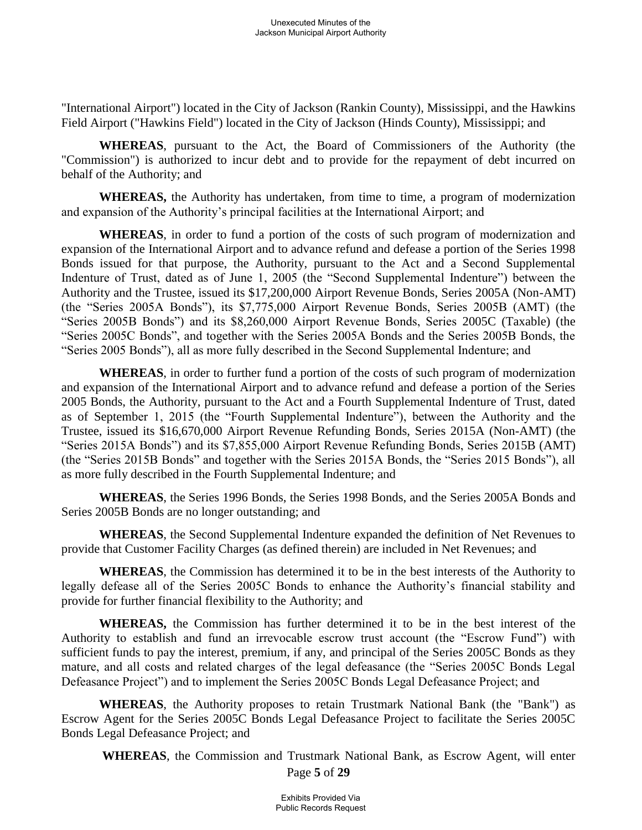"International Airport") located in the City of Jackson (Rankin County), Mississippi, and the Hawkins Field Airport ("Hawkins Field") located in the City of Jackson (Hinds County), Mississippi; and

**WHEREAS**, pursuant to the Act, the Board of Commissioners of the Authority (the "Commission") is authorized to incur debt and to provide for the repayment of debt incurred on behalf of the Authority; and

**WHEREAS,** the Authority has undertaken, from time to time, a program of modernization and expansion of the Authority's principal facilities at the International Airport; and

**WHEREAS**, in order to fund a portion of the costs of such program of modernization and expansion of the International Airport and to advance refund and defease a portion of the Series 1998 Bonds issued for that purpose, the Authority, pursuant to the Act and a Second Supplemental Indenture of Trust, dated as of June 1, 2005 (the "Second Supplemental Indenture") between the Authority and the Trustee, issued its \$17,200,000 Airport Revenue Bonds, Series 2005A (Non-AMT) (the "Series 2005A Bonds"), its \$7,775,000 Airport Revenue Bonds, Series 2005B (AMT) (the "Series 2005B Bonds") and its \$8,260,000 Airport Revenue Bonds, Series 2005C (Taxable) (the "Series 2005C Bonds", and together with the Series 2005A Bonds and the Series 2005B Bonds, the "Series 2005 Bonds"), all as more fully described in the Second Supplemental Indenture; and

**WHEREAS**, in order to further fund a portion of the costs of such program of modernization and expansion of the International Airport and to advance refund and defease a portion of the Series 2005 Bonds, the Authority, pursuant to the Act and a Fourth Supplemental Indenture of Trust, dated as of September 1, 2015 (the "Fourth Supplemental Indenture"), between the Authority and the Trustee, issued its \$16,670,000 Airport Revenue Refunding Bonds, Series 2015A (Non-AMT) (the "Series 2015A Bonds") and its \$7,855,000 Airport Revenue Refunding Bonds, Series 2015B (AMT) (the "Series 2015B Bonds" and together with the Series 2015A Bonds, the "Series 2015 Bonds"), all as more fully described in the Fourth Supplemental Indenture; and

**WHEREAS**, the Series 1996 Bonds, the Series 1998 Bonds, and the Series 2005A Bonds and Series 2005B Bonds are no longer outstanding; and

**WHEREAS**, the Second Supplemental Indenture expanded the definition of Net Revenues to provide that Customer Facility Charges (as defined therein) are included in Net Revenues; and

**WHEREAS**, the Commission has determined it to be in the best interests of the Authority to legally defease all of the Series 2005C Bonds to enhance the Authority's financial stability and provide for further financial flexibility to the Authority; and

**WHEREAS,** the Commission has further determined it to be in the best interest of the Authority to establish and fund an irrevocable escrow trust account (the "Escrow Fund") with sufficient funds to pay the interest, premium, if any, and principal of the Series 2005C Bonds as they mature, and all costs and related charges of the legal defeasance (the "Series 2005C Bonds Legal Defeasance Project") and to implement the Series 2005C Bonds Legal Defeasance Project; and

**WHEREAS**, the Authority proposes to retain Trustmark National Bank (the "Bank") as Escrow Agent for the Series 2005C Bonds Legal Defeasance Project to facilitate the Series 2005C Bonds Legal Defeasance Project; and

Page **5** of **29 WHEREAS**, the Commission and Trustmark National Bank, as Escrow Agent, will enter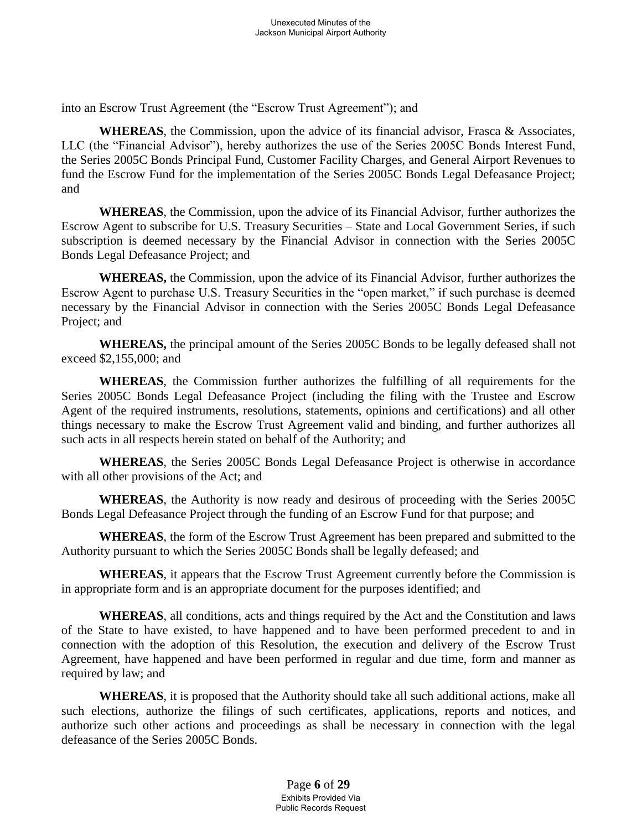into an Escrow Trust Agreement (the "Escrow Trust Agreement"); and

**WHEREAS**, the Commission, upon the advice of its financial advisor, Frasca & Associates, LLC (the "Financial Advisor"), hereby authorizes the use of the Series 2005C Bonds Interest Fund, the Series 2005C Bonds Principal Fund, Customer Facility Charges, and General Airport Revenues to fund the Escrow Fund for the implementation of the Series 2005C Bonds Legal Defeasance Project; and

**WHEREAS**, the Commission, upon the advice of its Financial Advisor, further authorizes the Escrow Agent to subscribe for U.S. Treasury Securities – State and Local Government Series, if such subscription is deemed necessary by the Financial Advisor in connection with the Series 2005C Bonds Legal Defeasance Project; and

**WHEREAS,** the Commission, upon the advice of its Financial Advisor, further authorizes the Escrow Agent to purchase U.S. Treasury Securities in the "open market," if such purchase is deemed necessary by the Financial Advisor in connection with the Series 2005C Bonds Legal Defeasance Project; and

**WHEREAS,** the principal amount of the Series 2005C Bonds to be legally defeased shall not exceed \$2,155,000; and

**WHEREAS**, the Commission further authorizes the fulfilling of all requirements for the Series 2005C Bonds Legal Defeasance Project (including the filing with the Trustee and Escrow Agent of the required instruments, resolutions, statements, opinions and certifications) and all other things necessary to make the Escrow Trust Agreement valid and binding, and further authorizes all such acts in all respects herein stated on behalf of the Authority; and

**WHEREAS**, the Series 2005C Bonds Legal Defeasance Project is otherwise in accordance with all other provisions of the Act; and

**WHEREAS**, the Authority is now ready and desirous of proceeding with the Series 2005C Bonds Legal Defeasance Project through the funding of an Escrow Fund for that purpose; and

**WHEREAS**, the form of the Escrow Trust Agreement has been prepared and submitted to the Authority pursuant to which the Series 2005C Bonds shall be legally defeased; and

**WHEREAS**, it appears that the Escrow Trust Agreement currently before the Commission is in appropriate form and is an appropriate document for the purposes identified; and

**WHEREAS**, all conditions, acts and things required by the Act and the Constitution and laws of the State to have existed, to have happened and to have been performed precedent to and in connection with the adoption of this Resolution, the execution and delivery of the Escrow Trust Agreement, have happened and have been performed in regular and due time, form and manner as required by law; and

**WHEREAS**, it is proposed that the Authority should take all such additional actions, make all such elections, authorize the filings of such certificates, applications, reports and notices, and authorize such other actions and proceedings as shall be necessary in connection with the legal defeasance of the Series 2005C Bonds.

> Page **6** of **29** Exhibits Provided Via Public Records Request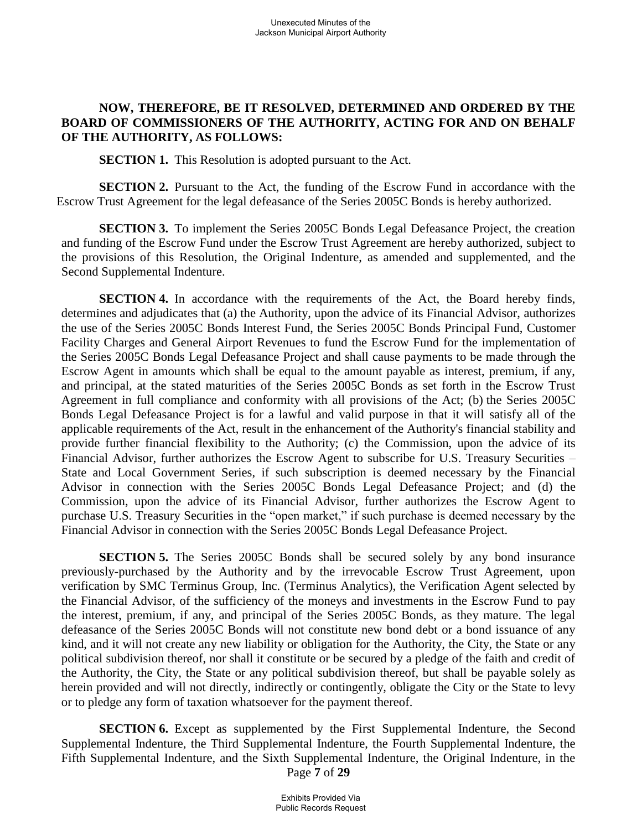## **NOW, THEREFORE, BE IT RESOLVED, DETERMINED AND ORDERED BY THE BOARD OF COMMISSIONERS OF THE AUTHORITY, ACTING FOR AND ON BEHALF OF THE AUTHORITY, AS FOLLOWS:**

**SECTION 1.** This Resolution is adopted pursuant to the Act.

**SECTION 2.** Pursuant to the Act, the funding of the Escrow Fund in accordance with the Escrow Trust Agreement for the legal defeasance of the Series 2005C Bonds is hereby authorized.

**SECTION 3.** To implement the Series 2005C Bonds Legal Defeasance Project, the creation and funding of the Escrow Fund under the Escrow Trust Agreement are hereby authorized, subject to the provisions of this Resolution, the Original Indenture, as amended and supplemented, and the Second Supplemental Indenture.

**SECTION 4.** In accordance with the requirements of the Act, the Board hereby finds, determines and adjudicates that (a) the Authority, upon the advice of its Financial Advisor, authorizes the use of the Series 2005C Bonds Interest Fund, the Series 2005C Bonds Principal Fund, Customer Facility Charges and General Airport Revenues to fund the Escrow Fund for the implementation of the Series 2005C Bonds Legal Defeasance Project and shall cause payments to be made through the Escrow Agent in amounts which shall be equal to the amount payable as interest, premium, if any, and principal, at the stated maturities of the Series 2005C Bonds as set forth in the Escrow Trust Agreement in full compliance and conformity with all provisions of the Act; (b) the Series 2005C Bonds Legal Defeasance Project is for a lawful and valid purpose in that it will satisfy all of the applicable requirements of the Act, result in the enhancement of the Authority's financial stability and provide further financial flexibility to the Authority; (c) the Commission, upon the advice of its Financial Advisor, further authorizes the Escrow Agent to subscribe for U.S. Treasury Securities – State and Local Government Series, if such subscription is deemed necessary by the Financial Advisor in connection with the Series 2005C Bonds Legal Defeasance Project; and (d) the Commission, upon the advice of its Financial Advisor, further authorizes the Escrow Agent to purchase U.S. Treasury Securities in the "open market," if such purchase is deemed necessary by the Financial Advisor in connection with the Series 2005C Bonds Legal Defeasance Project.

**SECTION 5.** The Series 2005C Bonds shall be secured solely by any bond insurance previously-purchased by the Authority and by the irrevocable Escrow Trust Agreement, upon verification by SMC Terminus Group, Inc. (Terminus Analytics), the Verification Agent selected by the Financial Advisor, of the sufficiency of the moneys and investments in the Escrow Fund to pay the interest, premium, if any, and principal of the Series 2005C Bonds, as they mature. The legal defeasance of the Series 2005C Bonds will not constitute new bond debt or a bond issuance of any kind, and it will not create any new liability or obligation for the Authority, the City, the State or any political subdivision thereof, nor shall it constitute or be secured by a pledge of the faith and credit of the Authority, the City, the State or any political subdivision thereof, but shall be payable solely as herein provided and will not directly, indirectly or contingently, obligate the City or the State to levy or to pledge any form of taxation whatsoever for the payment thereof.

Page **7** of **29 SECTION 6.** Except as supplemented by the First Supplemental Indenture, the Second Supplemental Indenture, the Third Supplemental Indenture, the Fourth Supplemental Indenture, the Fifth Supplemental Indenture, and the Sixth Supplemental Indenture, the Original Indenture, in the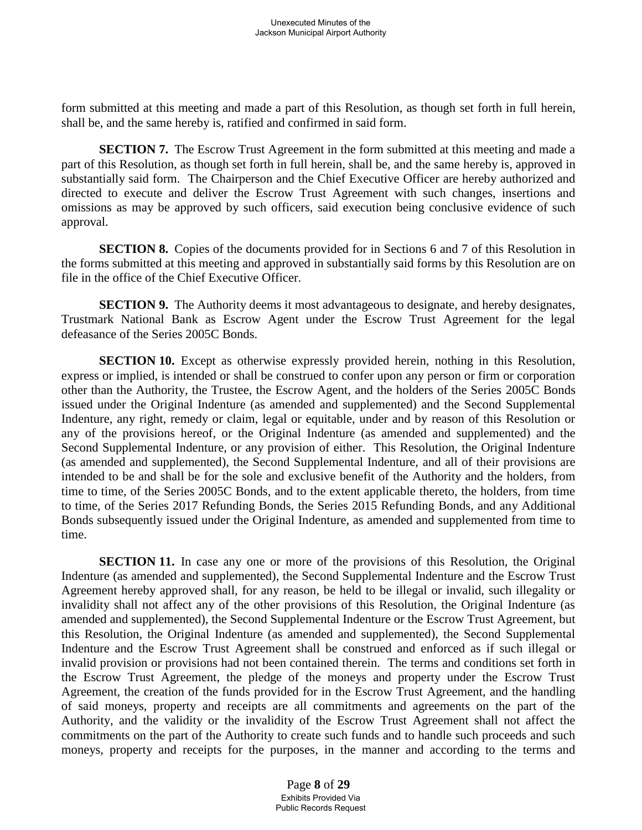form submitted at this meeting and made a part of this Resolution, as though set forth in full herein, shall be, and the same hereby is, ratified and confirmed in said form.

**SECTION 7.** The Escrow Trust Agreement in the form submitted at this meeting and made a part of this Resolution, as though set forth in full herein, shall be, and the same hereby is, approved in substantially said form. The Chairperson and the Chief Executive Officer are hereby authorized and directed to execute and deliver the Escrow Trust Agreement with such changes, insertions and omissions as may be approved by such officers, said execution being conclusive evidence of such approval.

**SECTION 8.** Copies of the documents provided for in Sections 6 and 7 of this Resolution in the forms submitted at this meeting and approved in substantially said forms by this Resolution are on file in the office of the Chief Executive Officer.

**SECTION 9.** The Authority deems it most advantageous to designate, and hereby designates, Trustmark National Bank as Escrow Agent under the Escrow Trust Agreement for the legal defeasance of the Series 2005C Bonds.

**SECTION 10.** Except as otherwise expressly provided herein, nothing in this Resolution, express or implied, is intended or shall be construed to confer upon any person or firm or corporation other than the Authority, the Trustee, the Escrow Agent, and the holders of the Series 2005C Bonds issued under the Original Indenture (as amended and supplemented) and the Second Supplemental Indenture, any right, remedy or claim, legal or equitable, under and by reason of this Resolution or any of the provisions hereof, or the Original Indenture (as amended and supplemented) and the Second Supplemental Indenture, or any provision of either. This Resolution, the Original Indenture (as amended and supplemented), the Second Supplemental Indenture, and all of their provisions are intended to be and shall be for the sole and exclusive benefit of the Authority and the holders, from time to time, of the Series 2005C Bonds, and to the extent applicable thereto, the holders, from time to time, of the Series 2017 Refunding Bonds, the Series 2015 Refunding Bonds, and any Additional Bonds subsequently issued under the Original Indenture, as amended and supplemented from time to time.

**SECTION 11.** In case any one or more of the provisions of this Resolution, the Original Indenture (as amended and supplemented), the Second Supplemental Indenture and the Escrow Trust Agreement hereby approved shall, for any reason, be held to be illegal or invalid, such illegality or invalidity shall not affect any of the other provisions of this Resolution, the Original Indenture (as amended and supplemented), the Second Supplemental Indenture or the Escrow Trust Agreement, but this Resolution, the Original Indenture (as amended and supplemented), the Second Supplemental Indenture and the Escrow Trust Agreement shall be construed and enforced as if such illegal or invalid provision or provisions had not been contained therein. The terms and conditions set forth in the Escrow Trust Agreement, the pledge of the moneys and property under the Escrow Trust Agreement, the creation of the funds provided for in the Escrow Trust Agreement, and the handling of said moneys, property and receipts are all commitments and agreements on the part of the Authority, and the validity or the invalidity of the Escrow Trust Agreement shall not affect the commitments on the part of the Authority to create such funds and to handle such proceeds and such moneys, property and receipts for the purposes, in the manner and according to the terms and

> Page **8** of **29** Exhibits Provided Via Public Records Request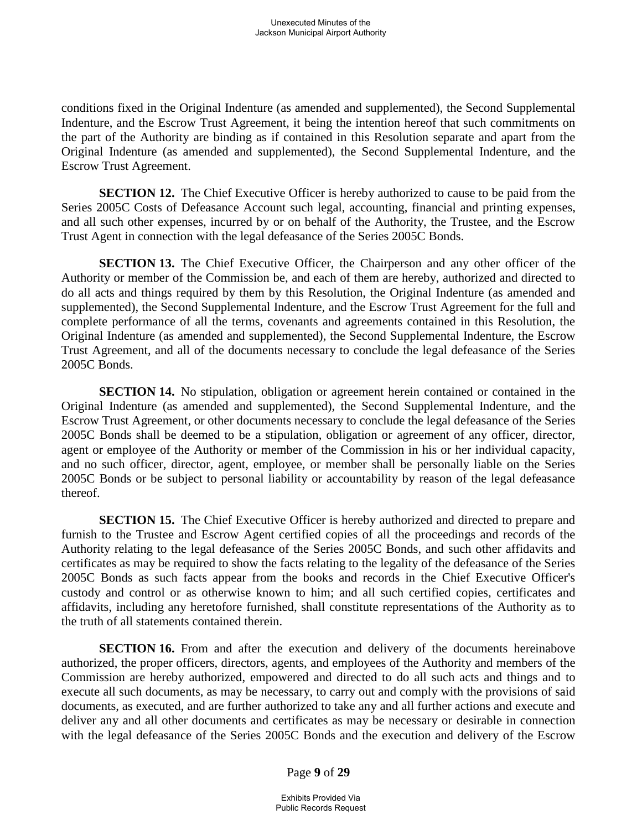conditions fixed in the Original Indenture (as amended and supplemented), the Second Supplemental Indenture, and the Escrow Trust Agreement, it being the intention hereof that such commitments on the part of the Authority are binding as if contained in this Resolution separate and apart from the Original Indenture (as amended and supplemented), the Second Supplemental Indenture, and the Escrow Trust Agreement.

**SECTION 12.** The Chief Executive Officer is hereby authorized to cause to be paid from the Series 2005C Costs of Defeasance Account such legal, accounting, financial and printing expenses, and all such other expenses, incurred by or on behalf of the Authority, the Trustee, and the Escrow Trust Agent in connection with the legal defeasance of the Series 2005C Bonds.

**SECTION 13.** The Chief Executive Officer, the Chairperson and any other officer of the Authority or member of the Commission be, and each of them are hereby, authorized and directed to do all acts and things required by them by this Resolution, the Original Indenture (as amended and supplemented), the Second Supplemental Indenture, and the Escrow Trust Agreement for the full and complete performance of all the terms, covenants and agreements contained in this Resolution, the Original Indenture (as amended and supplemented), the Second Supplemental Indenture, the Escrow Trust Agreement, and all of the documents necessary to conclude the legal defeasance of the Series 2005C Bonds.

**SECTION 14.** No stipulation, obligation or agreement herein contained or contained in the Original Indenture (as amended and supplemented), the Second Supplemental Indenture, and the Escrow Trust Agreement, or other documents necessary to conclude the legal defeasance of the Series 2005C Bonds shall be deemed to be a stipulation, obligation or agreement of any officer, director, agent or employee of the Authority or member of the Commission in his or her individual capacity, and no such officer, director, agent, employee, or member shall be personally liable on the Series 2005C Bonds or be subject to personal liability or accountability by reason of the legal defeasance thereof.

**SECTION 15.** The Chief Executive Officer is hereby authorized and directed to prepare and furnish to the Trustee and Escrow Agent certified copies of all the proceedings and records of the Authority relating to the legal defeasance of the Series 2005C Bonds, and such other affidavits and certificates as may be required to show the facts relating to the legality of the defeasance of the Series 2005C Bonds as such facts appear from the books and records in the Chief Executive Officer's custody and control or as otherwise known to him; and all such certified copies, certificates and affidavits, including any heretofore furnished, shall constitute representations of the Authority as to the truth of all statements contained therein.

**SECTION 16.** From and after the execution and delivery of the documents hereinabove authorized, the proper officers, directors, agents, and employees of the Authority and members of the Commission are hereby authorized, empowered and directed to do all such acts and things and to execute all such documents, as may be necessary, to carry out and comply with the provisions of said documents, as executed, and are further authorized to take any and all further actions and execute and deliver any and all other documents and certificates as may be necessary or desirable in connection with the legal defeasance of the Series 2005C Bonds and the execution and delivery of the Escrow

Page **9** of **29**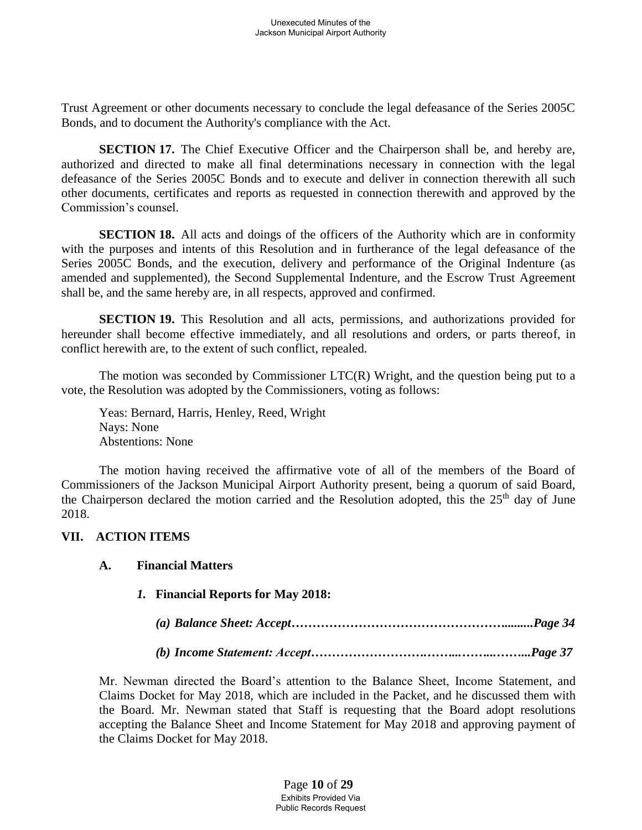Trust Agreement or other documents necessary to conclude the legal defeasance of the Series 2005C Bonds, and to document the Authority's compliance with the Act.

**SECTION 17.** The Chief Executive Officer and the Chairperson shall be, and hereby are, authorized and directed to make all final determinations necessary in connection with the legal defeasance of the Series 2005C Bonds and to execute and deliver in connection therewith all such other documents, certificates and reports as requested in connection therewith and approved by the Commission's counsel.

**SECTION 18.** All acts and doings of the officers of the Authority which are in conformity with the purposes and intents of this Resolution and in furtherance of the legal defeasance of the Series 2005C Bonds, and the execution, delivery and performance of the Original Indenture (as amended and supplemented), the Second Supplemental Indenture, and the Escrow Trust Agreement shall be, and the same hereby are, in all respects, approved and confirmed.

**SECTION 19.** This Resolution and all acts, permissions, and authorizations provided for hereunder shall become effective immediately, and all resolutions and orders, or parts thereof, in conflict herewith are, to the extent of such conflict, repealed.

The motion was seconded by Commissioner LTC(R) Wright, and the question being put to a vote, the Resolution was adopted by the Commissioners, voting as follows:

Yeas: Bernard, Harris, Henley, Reed, Wright Nays: None Abstentions: None

The motion having received the affirmative vote of all of the members of the Board of Commissioners of the Jackson Municipal Airport Authority present, being a quorum of said Board, the Chairperson declared the motion carried and the Resolution adopted, this the  $25<sup>th</sup>$  day of June 2018.

#### **VII. ACTION ITEMS**

#### **A. Financial Matters**

#### *1.* **Financial Reports for May 2018:**

*(a) Balance Sheet: Accept…………………………………………….........Page 34*

*(b) Income Statement: Accept……………………….……...……...……...Page 37*

Mr. Newman directed the Board's attention to the Balance Sheet, Income Statement, and Claims Docket for May 2018, which are included in the Packet, and he discussed them with the Board. Mr. Newman stated that Staff is requesting that the Board adopt resolutions accepting the Balance Sheet and Income Statement for May 2018 and approving payment of the Claims Docket for May 2018.

> Page **10** of **29** Exhibits Provided Via Public Records Request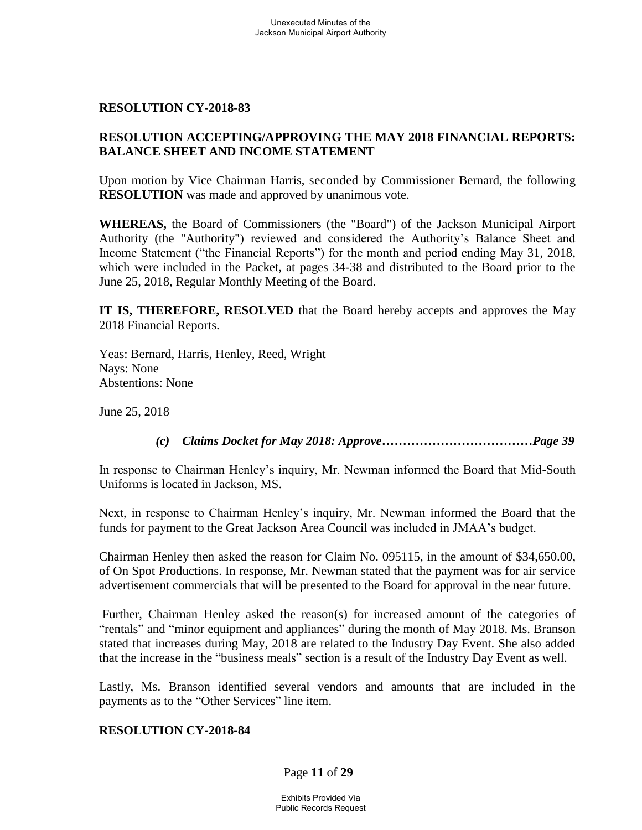#### **RESOLUTION CY-2018-83**

#### **RESOLUTION ACCEPTING/APPROVING THE MAY 2018 FINANCIAL REPORTS: BALANCE SHEET AND INCOME STATEMENT**

Upon motion by Vice Chairman Harris, seconded by Commissioner Bernard, the following **RESOLUTION** was made and approved by unanimous vote.

**WHEREAS,** the Board of Commissioners (the "Board") of the Jackson Municipal Airport Authority (the "Authority") reviewed and considered the Authority's Balance Sheet and Income Statement ("the Financial Reports") for the month and period ending May 31, 2018, which were included in the Packet, at pages 34-38 and distributed to the Board prior to the June 25, 2018, Regular Monthly Meeting of the Board.

**IT IS, THEREFORE, RESOLVED** that the Board hereby accepts and approves the May 2018 Financial Reports.

Yeas: Bernard, Harris, Henley, Reed, Wright Nays: None Abstentions: None

June 25, 2018

#### *(c) Claims Docket for May 2018: Approve………………………………Page 39*

In response to Chairman Henley's inquiry, Mr. Newman informed the Board that Mid-South Uniforms is located in Jackson, MS.

Next, in response to Chairman Henley's inquiry, Mr. Newman informed the Board that the funds for payment to the Great Jackson Area Council was included in JMAA's budget.

Chairman Henley then asked the reason for Claim No. 095115, in the amount of \$34,650.00, of On Spot Productions. In response, Mr. Newman stated that the payment was for air service advertisement commercials that will be presented to the Board for approval in the near future.

Further, Chairman Henley asked the reason(s) for increased amount of the categories of "rentals" and "minor equipment and appliances" during the month of May 2018. Ms. Branson stated that increases during May, 2018 are related to the Industry Day Event. She also added that the increase in the "business meals" section is a result of the Industry Day Event as well.

Lastly, Ms. Branson identified several vendors and amounts that are included in the payments as to the "Other Services" line item.

#### **RESOLUTION CY-2018-84**

Page **11** of **29**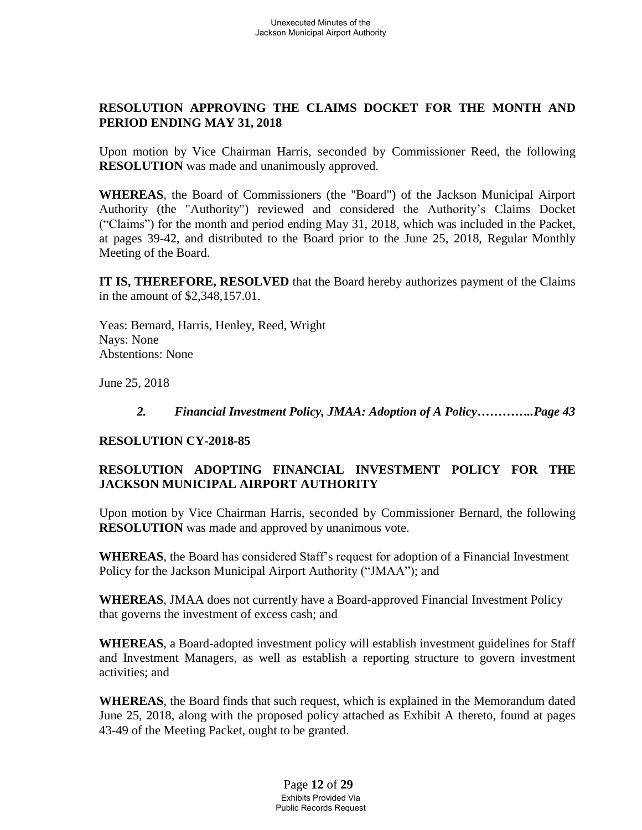# **RESOLUTION APPROVING THE CLAIMS DOCKET FOR THE MONTH AND PERIOD ENDING MAY 31, 2018**

Upon motion by Vice Chairman Harris, seconded by Commissioner Reed, the following **RESOLUTION** was made and unanimously approved.

**WHEREAS**, the Board of Commissioners (the "Board") of the Jackson Municipal Airport Authority (the "Authority") reviewed and considered the Authority's Claims Docket ("Claims") for the month and period ending May 31, 2018, which was included in the Packet, at pages 39-42, and distributed to the Board prior to the June 25, 2018, Regular Monthly Meeting of the Board.

**IT IS, THEREFORE, RESOLVED** that the Board hereby authorizes payment of the Claims in the amount of \$2,348,157.01.

Yeas: Bernard, Harris, Henley, Reed, Wright Nays: None Abstentions: None

June 25, 2018

### *2. Financial Investment Policy, JMAA: Adoption of A Policy…………..Page 43*

## **RESOLUTION CY-2018-85**

# **RESOLUTION ADOPTING FINANCIAL INVESTMENT POLICY FOR THE JACKSON MUNICIPAL AIRPORT AUTHORITY**

Upon motion by Vice Chairman Harris, seconded by Commissioner Bernard, the following **RESOLUTION** was made and approved by unanimous vote.

**WHEREAS**, the Board has considered Staff's request for adoption of a Financial Investment Policy for the Jackson Municipal Airport Authority ("JMAA"); and

**WHEREAS**, JMAA does not currently have a Board-approved Financial Investment Policy that governs the investment of excess cash; and

**WHEREAS**, a Board-adopted investment policy will establish investment guidelines for Staff and Investment Managers, as well as establish a reporting structure to govern investment activities; and

**WHEREAS**, the Board finds that such request, which is explained in the Memorandum dated June 25, 2018, along with the proposed policy attached as Exhibit A thereto, found at pages 43-49 of the Meeting Packet, ought to be granted.

> Page **12** of **29** Exhibits Provided Via Public Records Request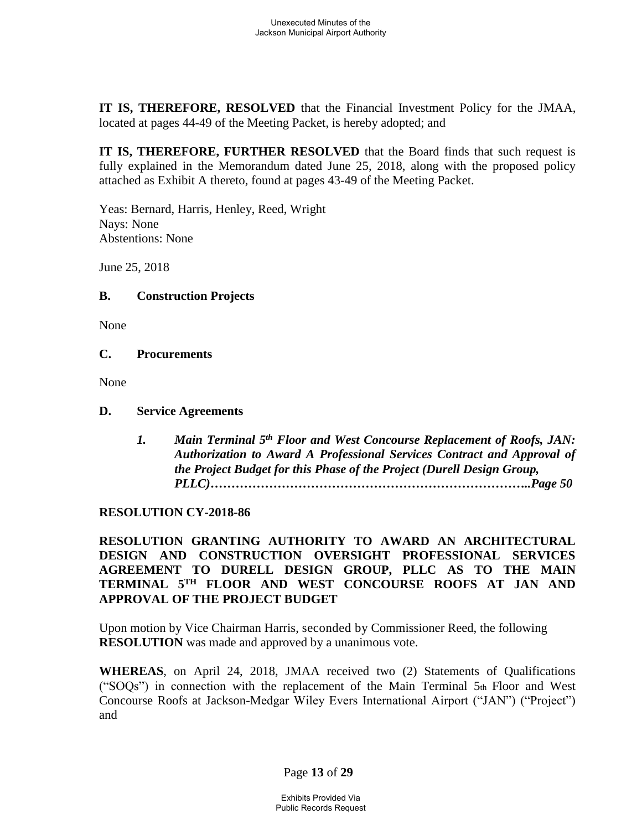**IT IS, THEREFORE, RESOLVED** that the Financial Investment Policy for the JMAA, located at pages 44-49 of the Meeting Packet, is hereby adopted; and

**IT IS, THEREFORE, FURTHER RESOLVED** that the Board finds that such request is fully explained in the Memorandum dated June 25, 2018, along with the proposed policy attached as Exhibit A thereto, found at pages 43-49 of the Meeting Packet.

Yeas: Bernard, Harris, Henley, Reed, Wright Nays: None Abstentions: None

June 25, 2018

#### **B. Construction Projects**

None

#### **C. Procurements**

None

### **D. Service Agreements**

*1. Main Terminal 5th Floor and West Concourse Replacement of Roofs, JAN: Authorization to Award A Professional Services Contract and Approval of the Project Budget for this Phase of the Project (Durell Design Group, PLLC)…………………………………………………………………..Page 50*

## **RESOLUTION CY-2018-86**

### **RESOLUTION GRANTING AUTHORITY TO AWARD AN ARCHITECTURAL DESIGN AND CONSTRUCTION OVERSIGHT PROFESSIONAL SERVICES AGREEMENT TO DURELL DESIGN GROUP, PLLC AS TO THE MAIN TERMINAL 5TH FLOOR AND WEST CONCOURSE ROOFS AT JAN AND APPROVAL OF THE PROJECT BUDGET**

Upon motion by Vice Chairman Harris, seconded by Commissioner Reed, the following **RESOLUTION** was made and approved by a unanimous vote.

**WHEREAS**, on April 24, 2018, JMAA received two (2) Statements of Qualifications ("SOQs") in connection with the replacement of the Main Terminal 5th Floor and West Concourse Roofs at Jackson-Medgar Wiley Evers International Airport ("JAN") ("Project") and

## Page **13** of **29**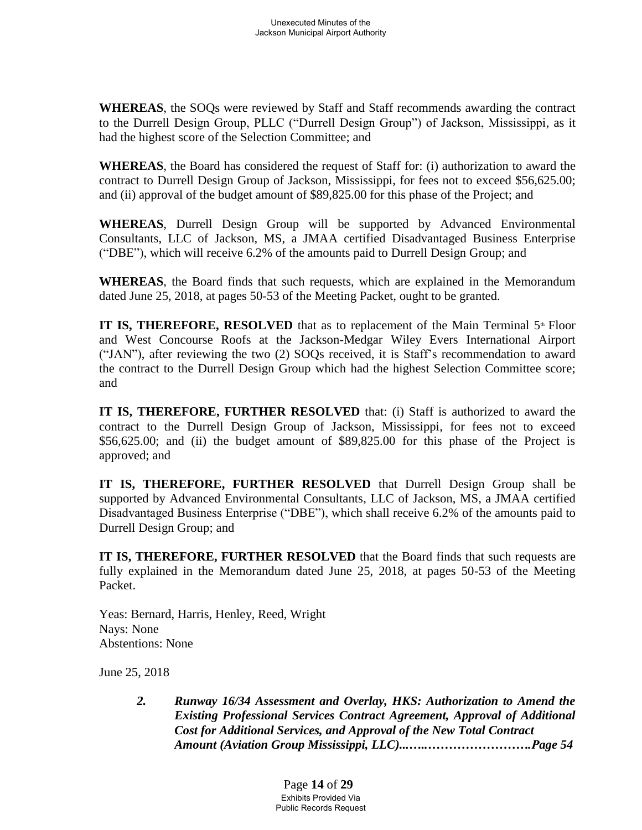**WHEREAS**, the SOQs were reviewed by Staff and Staff recommends awarding the contract to the Durrell Design Group, PLLC ("Durrell Design Group") of Jackson, Mississippi, as it had the highest score of the Selection Committee; and

**WHEREAS**, the Board has considered the request of Staff for: (i) authorization to award the contract to Durrell Design Group of Jackson, Mississippi, for fees not to exceed \$56,625.00; and (ii) approval of the budget amount of \$89,825.00 for this phase of the Project; and

**WHEREAS**, Durrell Design Group will be supported by Advanced Environmental Consultants, LLC of Jackson, MS, a JMAA certified Disadvantaged Business Enterprise ("DBE"), which will receive 6.2% of the amounts paid to Durrell Design Group; and

**WHEREAS**, the Board finds that such requests, which are explained in the Memorandum dated June 25, 2018, at pages 50-53 of the Meeting Packet, ought to be granted.

**IT IS, THEREFORE, RESOLVED** that as to replacement of the Main Terminal 5<sup>th</sup> Floor and West Concourse Roofs at the Jackson-Medgar Wiley Evers International Airport ("JAN"), after reviewing the two (2) SOQs received, it is Staff's recommendation to award the contract to the Durrell Design Group which had the highest Selection Committee score; and

**IT IS, THEREFORE, FURTHER RESOLVED** that: (i) Staff is authorized to award the contract to the Durrell Design Group of Jackson, Mississippi, for fees not to exceed  $$56,625.00$ ; and (ii) the budget amount of  $$89,825.00$  for this phase of the Project is approved; and

**IT IS, THEREFORE, FURTHER RESOLVED** that Durrell Design Group shall be supported by Advanced Environmental Consultants, LLC of Jackson, MS, a JMAA certified Disadvantaged Business Enterprise ("DBE"), which shall receive 6.2% of the amounts paid to Durrell Design Group; and

**IT IS, THEREFORE, FURTHER RESOLVED** that the Board finds that such requests are fully explained in the Memorandum dated June 25, 2018, at pages 50-53 of the Meeting Packet.

Yeas: Bernard, Harris, Henley, Reed, Wright Nays: None Abstentions: None

June 25, 2018

*2. Runway 16/34 Assessment and Overlay, HKS: Authorization to Amend the Existing Professional Services Contract Agreement, Approval of Additional Cost for Additional Services, and Approval of the New Total Contract Amount (Aviation Group Mississippi, LLC)...…..…………………….Page 54*

> Page **14** of **29** Exhibits Provided Via Public Records Request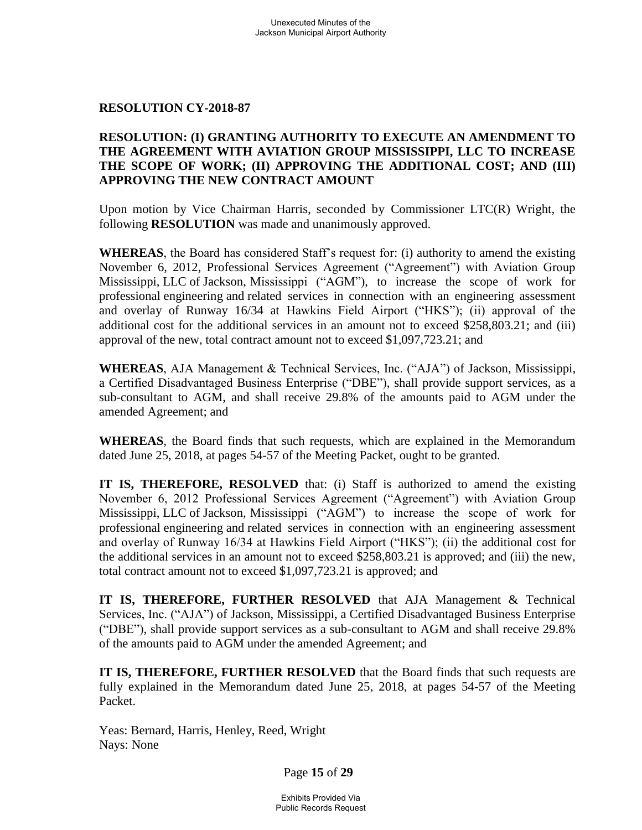#### **RESOLUTION CY-2018-87**

## **RESOLUTION: (I) GRANTING AUTHORITY TO EXECUTE AN AMENDMENT TO THE AGREEMENT WITH AVIATION GROUP MISSISSIPPI, LLC TO INCREASE THE SCOPE OF WORK; (II) APPROVING THE ADDITIONAL COST; AND (III) APPROVING THE NEW CONTRACT AMOUNT**

Upon motion by Vice Chairman Harris, seconded by Commissioner LTC(R) Wright, the following **RESOLUTION** was made and unanimously approved.

**WHEREAS**, the Board has considered Staff's request for: (i) authority to amend the existing November 6, 2012, Professional Services Agreement ("Agreement") with Aviation Group Mississippi, LLC of Jackson, Mississippi ("AGM"), to increase the scope of work for professional engineering and related services in connection with an engineering assessment and overlay of Runway 16/34 at Hawkins Field Airport ("HKS"); (ii) approval of the additional cost for the additional services in an amount not to exceed \$258,803.21; and (iii) approval of the new, total contract amount not to exceed \$1,097,723.21; and

**WHEREAS**, AJA Management & Technical Services, Inc. ("AJA") of Jackson, Mississippi, a Certified Disadvantaged Business Enterprise ("DBE"), shall provide support services, as a sub-consultant to AGM, and shall receive 29.8% of the amounts paid to AGM under the amended Agreement; and

**WHEREAS**, the Board finds that such requests, which are explained in the Memorandum dated June 25, 2018, at pages 54-57 of the Meeting Packet, ought to be granted.

**IT IS, THEREFORE, RESOLVED** that: (i) Staff is authorized to amend the existing November 6, 2012 Professional Services Agreement ("Agreement") with Aviation Group Mississippi, LLC of Jackson, Mississippi ("AGM") to increase the scope of work for professional engineering and related services in connection with an engineering assessment and overlay of Runway 16/34 at Hawkins Field Airport ("HKS"); (ii) the additional cost for the additional services in an amount not to exceed \$258,803.21 is approved; and (iii) the new, total contract amount not to exceed \$1,097,723.21 is approved; and

**IT IS, THEREFORE, FURTHER RESOLVED** that AJA Management & Technical Services, Inc. ("AJA") of Jackson, Mississippi, a Certified Disadvantaged Business Enterprise ("DBE"), shall provide support services as a sub-consultant to AGM and shall receive 29.8% of the amounts paid to AGM under the amended Agreement; and

**IT IS, THEREFORE, FURTHER RESOLVED** that the Board finds that such requests are fully explained in the Memorandum dated June 25, 2018, at pages 54-57 of the Meeting Packet.

Yeas: Bernard, Harris, Henley, Reed, Wright Nays: None

Page **15** of **29**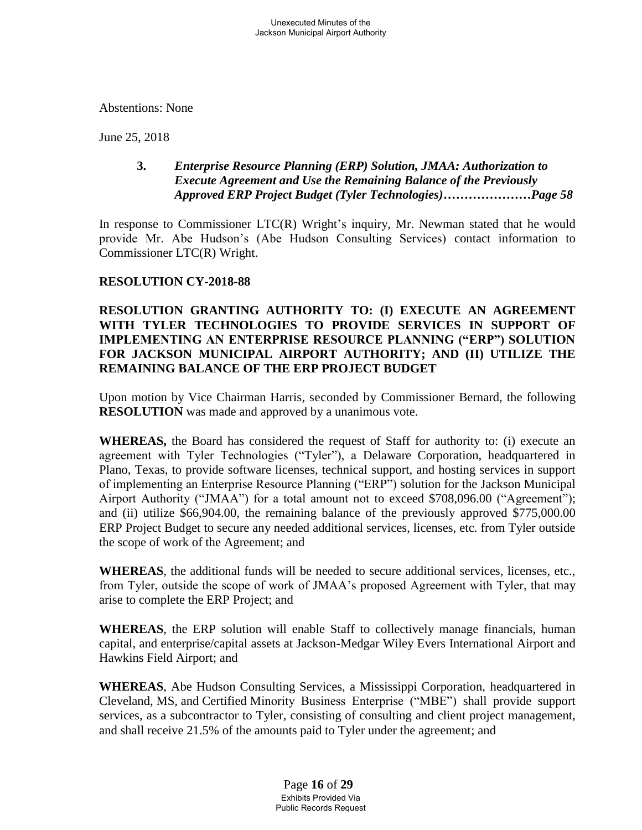Abstentions: None

June 25, 2018

## **3.** *Enterprise Resource Planning (ERP) Solution, JMAA: Authorization to Execute Agreement and Use the Remaining Balance of the Previously Approved ERP Project Budget (Tyler Technologies)…………………Page 58*

In response to Commissioner LTC(R) Wright's inquiry, Mr. Newman stated that he would provide Mr. Abe Hudson's (Abe Hudson Consulting Services) contact information to Commissioner LTC(R) Wright.

## **RESOLUTION CY-2018-88**

## **RESOLUTION GRANTING AUTHORITY TO: (I) EXECUTE AN AGREEMENT WITH TYLER TECHNOLOGIES TO PROVIDE SERVICES IN SUPPORT OF IMPLEMENTING AN ENTERPRISE RESOURCE PLANNING ("ERP") SOLUTION FOR JACKSON MUNICIPAL AIRPORT AUTHORITY; AND (II) UTILIZE THE REMAINING BALANCE OF THE ERP PROJECT BUDGET**

Upon motion by Vice Chairman Harris, seconded by Commissioner Bernard, the following **RESOLUTION** was made and approved by a unanimous vote.

**WHEREAS,** the Board has considered the request of Staff for authority to: (i) execute an agreement with Tyler Technologies ("Tyler"), a Delaware Corporation, headquartered in Plano, Texas, to provide software licenses, technical support, and hosting services in support of implementing an Enterprise Resource Planning ("ERP") solution for the Jackson Municipal Airport Authority ("JMAA") for a total amount not to exceed \$708,096.00 ("Agreement"); and (ii) utilize \$66,904.00, the remaining balance of the previously approved \$775,000.00 ERP Project Budget to secure any needed additional services, licenses, etc. from Tyler outside the scope of work of the Agreement; and

**WHEREAS**, the additional funds will be needed to secure additional services, licenses, etc., from Tyler, outside the scope of work of JMAA's proposed Agreement with Tyler, that may arise to complete the ERP Project; and

**WHEREAS**, the ERP solution will enable Staff to collectively manage financials, human capital, and enterprise/capital assets at Jackson-Medgar Wiley Evers International Airport and Hawkins Field Airport; and

**WHEREAS**, Abe Hudson Consulting Services, a Mississippi Corporation, headquartered in Cleveland, MS, and Certified Minority Business Enterprise ("MBE") shall provide support services, as a subcontractor to Tyler, consisting of consulting and client project management, and shall receive 21.5% of the amounts paid to Tyler under the agreement; and

> Page **16** of **29** Exhibits Provided Via Public Records Request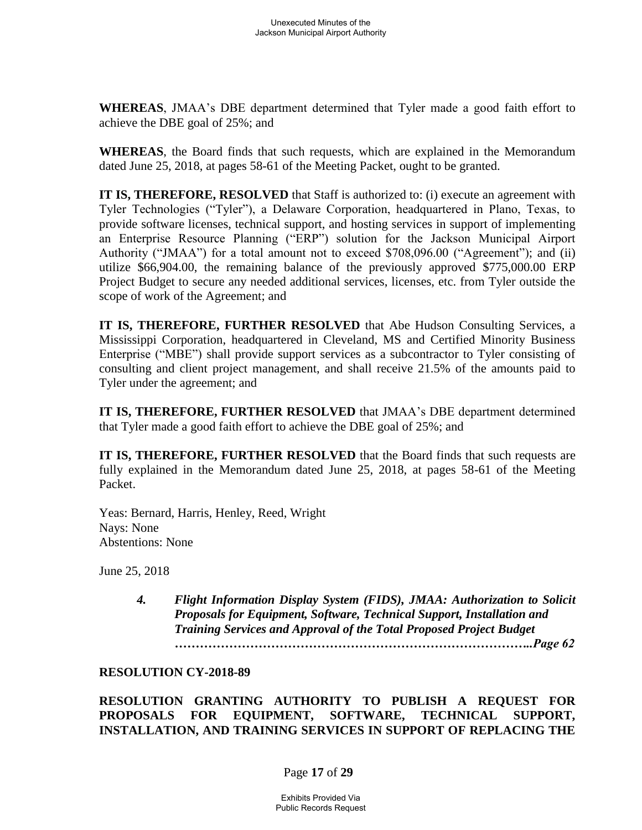**WHEREAS**, JMAA's DBE department determined that Tyler made a good faith effort to achieve the DBE goal of 25%; and

**WHEREAS**, the Board finds that such requests, which are explained in the Memorandum dated June 25, 2018, at pages 58-61 of the Meeting Packet, ought to be granted.

**IT IS, THEREFORE, RESOLVED** that Staff is authorized to: (i) execute an agreement with Tyler Technologies ("Tyler"), a Delaware Corporation, headquartered in Plano, Texas, to provide software licenses, technical support, and hosting services in support of implementing an Enterprise Resource Planning ("ERP") solution for the Jackson Municipal Airport Authority ("JMAA") for a total amount not to exceed \$708,096.00 ("Agreement"); and (ii) utilize \$66,904.00, the remaining balance of the previously approved \$775,000.00 ERP Project Budget to secure any needed additional services, licenses, etc. from Tyler outside the scope of work of the Agreement; and

**IT IS, THEREFORE, FURTHER RESOLVED** that Abe Hudson Consulting Services, a Mississippi Corporation, headquartered in Cleveland, MS and Certified Minority Business Enterprise ("MBE") shall provide support services as a subcontractor to Tyler consisting of consulting and client project management, and shall receive 21.5% of the amounts paid to Tyler under the agreement; and

**IT IS, THEREFORE, FURTHER RESOLVED** that JMAA's DBE department determined that Tyler made a good faith effort to achieve the DBE goal of 25%; and

**IT IS, THEREFORE, FURTHER RESOLVED** that the Board finds that such requests are fully explained in the Memorandum dated June 25, 2018, at pages 58-61 of the Meeting Packet.

Yeas: Bernard, Harris, Henley, Reed, Wright Nays: None Abstentions: None

June 25, 2018

*4. Flight Information Display System (FIDS), JMAA: Authorization to Solicit Proposals for Equipment, Software, Technical Support, Installation and Training Services and Approval of the Total Proposed Project Budget …………………………………………………………………………..Page 62*

#### **RESOLUTION CY-2018-89**

**RESOLUTION GRANTING AUTHORITY TO PUBLISH A REQUEST FOR PROPOSALS FOR EQUIPMENT, SOFTWARE, TECHNICAL SUPPORT, INSTALLATION, AND TRAINING SERVICES IN SUPPORT OF REPLACING THE** 

## Page **17** of **29**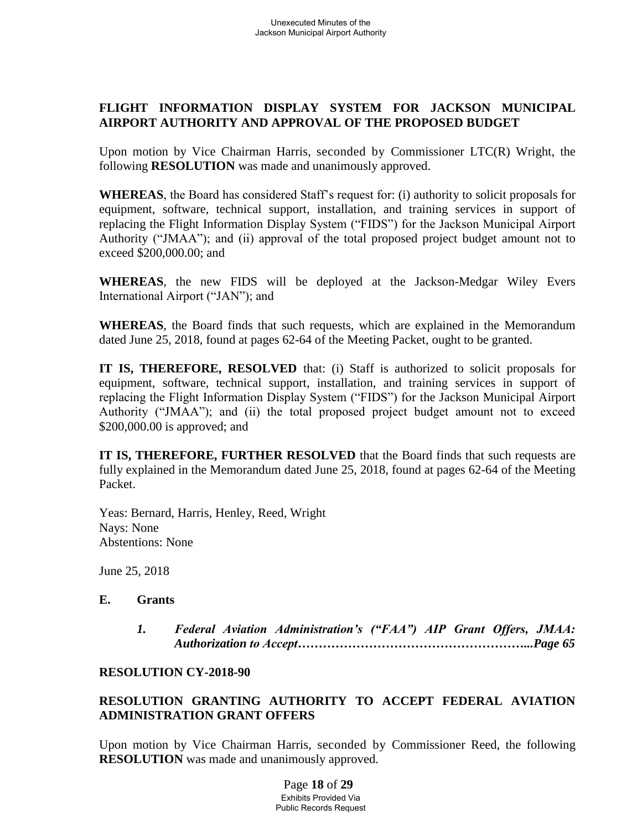# **FLIGHT INFORMATION DISPLAY SYSTEM FOR JACKSON MUNICIPAL AIRPORT AUTHORITY AND APPROVAL OF THE PROPOSED BUDGET**

Upon motion by Vice Chairman Harris, seconded by Commissioner LTC(R) Wright, the following **RESOLUTION** was made and unanimously approved.

**WHEREAS**, the Board has considered Staff's request for: (i) authority to solicit proposals for equipment, software, technical support, installation, and training services in support of replacing the Flight Information Display System ("FIDS") for the Jackson Municipal Airport Authority ("JMAA"); and (ii) approval of the total proposed project budget amount not to exceed \$200,000.00; and

**WHEREAS**, the new FIDS will be deployed at the Jackson-Medgar Wiley Evers International Airport ("JAN"); and

**WHEREAS**, the Board finds that such requests, which are explained in the Memorandum dated June 25, 2018, found at pages 62-64 of the Meeting Packet, ought to be granted.

**IT IS, THEREFORE, RESOLVED** that: (i) Staff is authorized to solicit proposals for equipment, software, technical support, installation, and training services in support of replacing the Flight Information Display System ("FIDS") for the Jackson Municipal Airport Authority ("JMAA"); and (ii) the total proposed project budget amount not to exceed \$200,000.00 is approved; and

**IT IS, THEREFORE, FURTHER RESOLVED** that the Board finds that such requests are fully explained in the Memorandum dated June 25, 2018, found at pages 62-64 of the Meeting Packet.

Yeas: Bernard, Harris, Henley, Reed, Wright Nays: None Abstentions: None

June 25, 2018

#### **E. Grants**

*1. Federal Aviation Administration's ("FAA") AIP Grant Offers, JMAA: Authorization to Accept………………………………………………...Page 65*

## **RESOLUTION CY-2018-90**

# **RESOLUTION GRANTING AUTHORITY TO ACCEPT FEDERAL AVIATION ADMINISTRATION GRANT OFFERS**

Upon motion by Vice Chairman Harris, seconded by Commissioner Reed, the following **RESOLUTION** was made and unanimously approved.

> Page **18** of **29** Exhibits Provided Via Public Records Request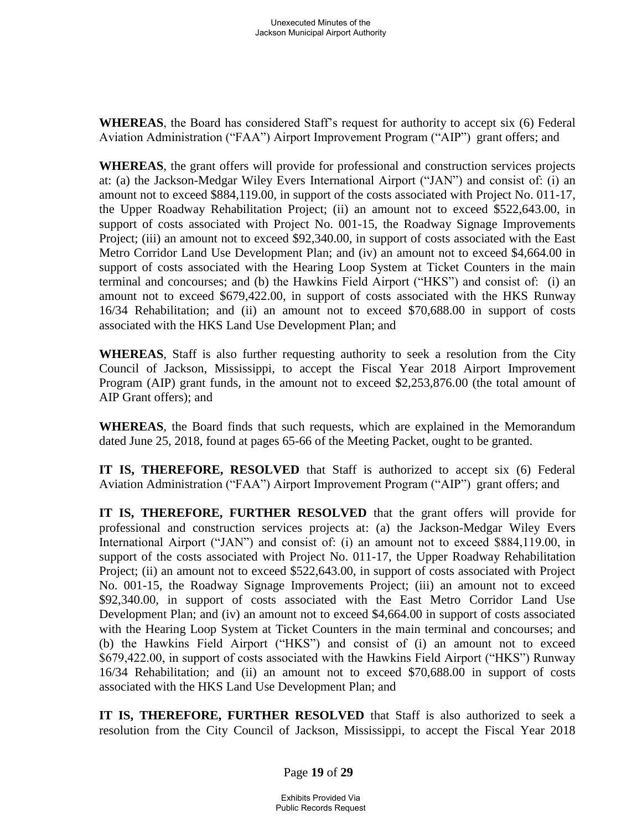**WHEREAS**, the Board has considered Staff's request for authority to accept six (6) Federal Aviation Administration ("FAA") Airport Improvement Program ("AIP") grant offers; and

**WHEREAS**, the grant offers will provide for professional and construction services projects at: (a) the Jackson-Medgar Wiley Evers International Airport ("JAN") and consist of: (i) an amount not to exceed \$884,119.00, in support of the costs associated with Project No. 011-17, the Upper Roadway Rehabilitation Project; (ii) an amount not to exceed \$522,643.00, in support of costs associated with Project No. 001-15, the Roadway Signage Improvements Project; (iii) an amount not to exceed \$92,340.00, in support of costs associated with the East Metro Corridor Land Use Development Plan; and (iv) an amount not to exceed \$4,664.00 in support of costs associated with the Hearing Loop System at Ticket Counters in the main terminal and concourses; and (b) the Hawkins Field Airport ("HKS") and consist of: (i) an amount not to exceed \$679,422.00, in support of costs associated with the HKS Runway 16/34 Rehabilitation; and (ii) an amount not to exceed \$70,688.00 in support of costs associated with the HKS Land Use Development Plan; and

**WHEREAS**, Staff is also further requesting authority to seek a resolution from the City Council of Jackson, Mississippi, to accept the Fiscal Year 2018 Airport Improvement Program (AIP) grant funds, in the amount not to exceed \$2,253,876.00 (the total amount of AIP Grant offers); and

**WHEREAS**, the Board finds that such requests, which are explained in the Memorandum dated June 25, 2018, found at pages 65-66 of the Meeting Packet, ought to be granted.

**IT IS, THEREFORE, RESOLVED** that Staff is authorized to accept six (6) Federal Aviation Administration ("FAA") Airport Improvement Program ("AIP") grant offers; and

**IT IS, THEREFORE, FURTHER RESOLVED** that the grant offers will provide for professional and construction services projects at: (a) the Jackson-Medgar Wiley Evers International Airport ("JAN") and consist of: (i) an amount not to exceed \$884,119.00, in support of the costs associated with Project No. 011-17, the Upper Roadway Rehabilitation Project; (ii) an amount not to exceed \$522,643.00, in support of costs associated with Project No. 001-15, the Roadway Signage Improvements Project; (iii) an amount not to exceed \$92,340.00, in support of costs associated with the East Metro Corridor Land Use Development Plan; and (iv) an amount not to exceed \$4,664.00 in support of costs associated with the Hearing Loop System at Ticket Counters in the main terminal and concourses; and (b) the Hawkins Field Airport ("HKS") and consist of (i) an amount not to exceed \$679,422.00, in support of costs associated with the Hawkins Field Airport ("HKS") Runway 16/34 Rehabilitation; and (ii) an amount not to exceed \$70,688.00 in support of costs associated with the HKS Land Use Development Plan; and

**IT IS, THEREFORE, FURTHER RESOLVED** that Staff is also authorized to seek a resolution from the City Council of Jackson, Mississippi, to accept the Fiscal Year 2018

Page **19** of **29**

Exhibits Provided Via Public Records Request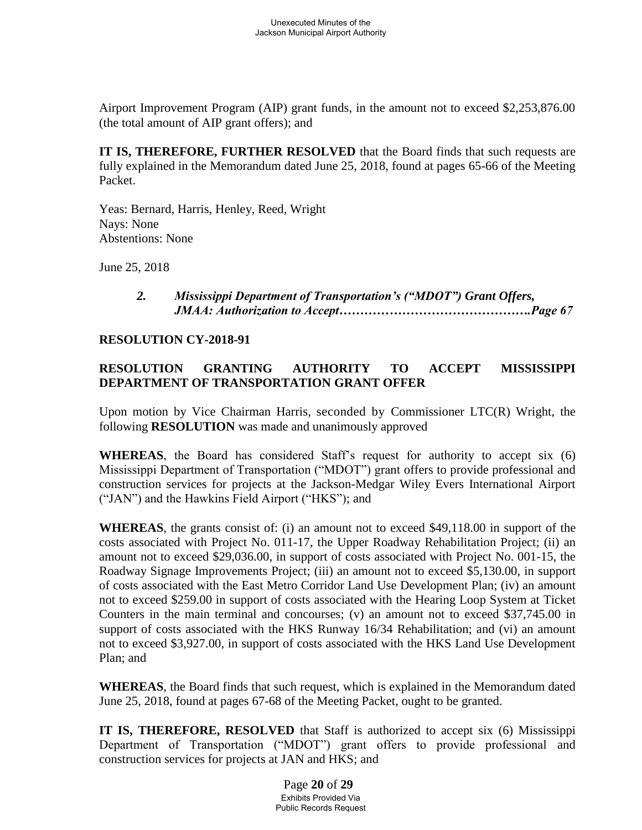Airport Improvement Program (AIP) grant funds, in the amount not to exceed \$2,253,876.00 (the total amount of AIP grant offers); and

**IT IS, THEREFORE, FURTHER RESOLVED** that the Board finds that such requests are fully explained in the Memorandum dated June 25, 2018, found at pages 65-66 of the Meeting Packet.

Yeas: Bernard, Harris, Henley, Reed, Wright Nays: None Abstentions: None

June 25, 2018

## *2. Mississippi Department of Transportation's ("MDOT") Grant Offers, JMAA: Authorization to Accept……………………………………….Page 67*

### **RESOLUTION CY-2018-91**

# **RESOLUTION GRANTING AUTHORITY TO ACCEPT MISSISSIPPI DEPARTMENT OF TRANSPORTATION GRANT OFFER**

Upon motion by Vice Chairman Harris, seconded by Commissioner LTC(R) Wright, the following **RESOLUTION** was made and unanimously approved

**WHEREAS**, the Board has considered Staff's request for authority to accept six (6) Mississippi Department of Transportation ("MDOT") grant offers to provide professional and construction services for projects at the Jackson-Medgar Wiley Evers International Airport ("JAN") and the Hawkins Field Airport ("HKS"); and

**WHEREAS**, the grants consist of: (i) an amount not to exceed \$49,118.00 in support of the costs associated with Project No. 011-17, the Upper Roadway Rehabilitation Project; (ii) an amount not to exceed \$29,036.00, in support of costs associated with Project No. 001-15, the Roadway Signage Improvements Project; (iii) an amount not to exceed \$5,130.00, in support of costs associated with the East Metro Corridor Land Use Development Plan; (iv) an amount not to exceed \$259.00 in support of costs associated with the Hearing Loop System at Ticket Counters in the main terminal and concourses; (v) an amount not to exceed \$37,745.00 in support of costs associated with the HKS Runway 16/34 Rehabilitation; and (vi) an amount not to exceed \$3,927.00, in support of costs associated with the HKS Land Use Development Plan; and

**WHEREAS**, the Board finds that such request, which is explained in the Memorandum dated June 25, 2018, found at pages 67-68 of the Meeting Packet, ought to be granted.

**IT IS, THEREFORE, RESOLVED** that Staff is authorized to accept six (6) Mississippi Department of Transportation ("MDOT") grant offers to provide professional and construction services for projects at JAN and HKS; and

> Page **20** of **29** Exhibits Provided Via Public Records Request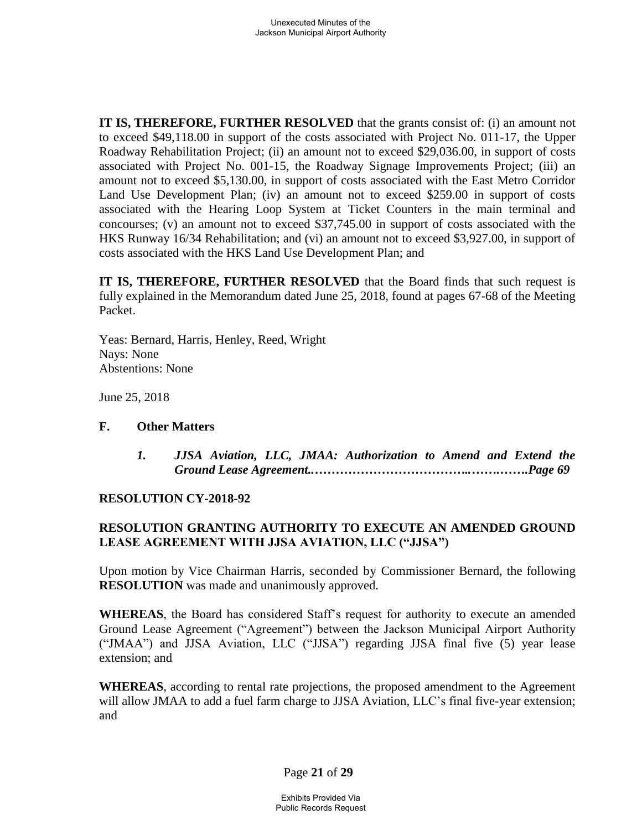**IT IS, THEREFORE, FURTHER RESOLVED** that the grants consist of: (i) an amount not to exceed \$49,118.00 in support of the costs associated with Project No. 011-17, the Upper Roadway Rehabilitation Project; (ii) an amount not to exceed \$29,036.00, in support of costs associated with Project No. 001-15, the Roadway Signage Improvements Project; (iii) an amount not to exceed \$5,130.00, in support of costs associated with the East Metro Corridor Land Use Development Plan; (iv) an amount not to exceed \$259.00 in support of costs associated with the Hearing Loop System at Ticket Counters in the main terminal and concourses; (v) an amount not to exceed \$37,745.00 in support of costs associated with the HKS Runway 16/34 Rehabilitation; and (vi) an amount not to exceed \$3,927.00, in support of costs associated with the HKS Land Use Development Plan; and

**IT IS, THEREFORE, FURTHER RESOLVED** that the Board finds that such request is fully explained in the Memorandum dated June 25, 2018, found at pages 67-68 of the Meeting Packet.

Yeas: Bernard, Harris, Henley, Reed, Wright Nays: None Abstentions: None

June 25, 2018

## **F. Other Matters**

*1. JJSA Aviation, LLC, JMAA: Authorization to Amend and Extend the Ground Lease Agreement..………………………………..…….…….Page 69*

## **RESOLUTION CY-2018-92**

## **RESOLUTION GRANTING AUTHORITY TO EXECUTE AN AMENDED GROUND LEASE AGREEMENT WITH JJSA AVIATION, LLC ("JJSA")**

Upon motion by Vice Chairman Harris, seconded by Commissioner Bernard, the following **RESOLUTION** was made and unanimously approved.

**WHEREAS**, the Board has considered Staff's request for authority to execute an amended Ground Lease Agreement ("Agreement") between the Jackson Municipal Airport Authority ("JMAA") and JJSA Aviation, LLC ("JJSA") regarding JJSA final five (5) year lease extension; and

**WHEREAS**, according to rental rate projections, the proposed amendment to the Agreement will allow JMAA to add a fuel farm charge to JJSA Aviation, LLC's final five-year extension; and

Page **21** of **29**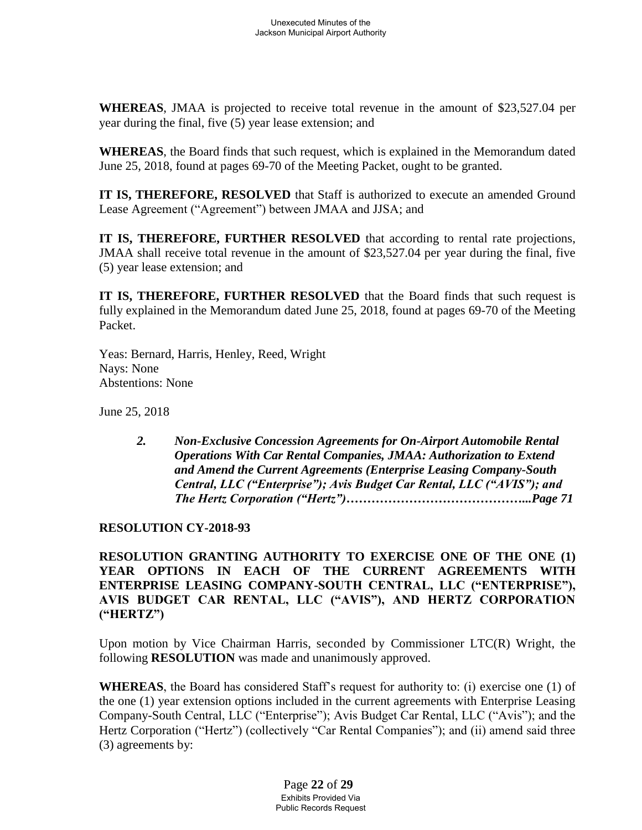**WHEREAS**, JMAA is projected to receive total revenue in the amount of \$23,527.04 per year during the final, five (5) year lease extension; and

**WHEREAS**, the Board finds that such request, which is explained in the Memorandum dated June 25, 2018, found at pages 69-70 of the Meeting Packet, ought to be granted.

**IT IS, THEREFORE, RESOLVED** that Staff is authorized to execute an amended Ground Lease Agreement ("Agreement") between JMAA and JJSA; and

**IT IS, THEREFORE, FURTHER RESOLVED** that according to rental rate projections, JMAA shall receive total revenue in the amount of \$23,527.04 per year during the final, five (5) year lease extension; and

**IT IS, THEREFORE, FURTHER RESOLVED** that the Board finds that such request is fully explained in the Memorandum dated June 25, 2018, found at pages 69-70 of the Meeting Packet.

Yeas: Bernard, Harris, Henley, Reed, Wright Nays: None Abstentions: None

June 25, 2018

*2. Non-Exclusive Concession Agreements for On-Airport Automobile Rental Operations With Car Rental Companies, JMAA: Authorization to Extend and Amend the Current Agreements (Enterprise Leasing Company-South Central, LLC ("Enterprise"); Avis Budget Car Rental, LLC ("AVIS"); and The Hertz Corporation ("Hertz")……………………………………...Page 71*

## **RESOLUTION CY-2018-93**

**RESOLUTION GRANTING AUTHORITY TO EXERCISE ONE OF THE ONE (1) YEAR OPTIONS IN EACH OF THE CURRENT AGREEMENTS WITH ENTERPRISE LEASING COMPANY-SOUTH CENTRAL, LLC ("ENTERPRISE"), AVIS BUDGET CAR RENTAL, LLC ("AVIS"), AND HERTZ CORPORATION ("HERTZ")**

Upon motion by Vice Chairman Harris, seconded by Commissioner LTC(R) Wright, the following **RESOLUTION** was made and unanimously approved.

**WHEREAS**, the Board has considered Staff's request for authority to: (i) exercise one (1) of the one (1) year extension options included in the current agreements with Enterprise Leasing Company-South Central, LLC ("Enterprise"); Avis Budget Car Rental, LLC ("Avis"); and the Hertz Corporation ("Hertz") (collectively "Car Rental Companies"); and (ii) amend said three (3) agreements by:

> Page **22** of **29** Exhibits Provided Via Public Records Request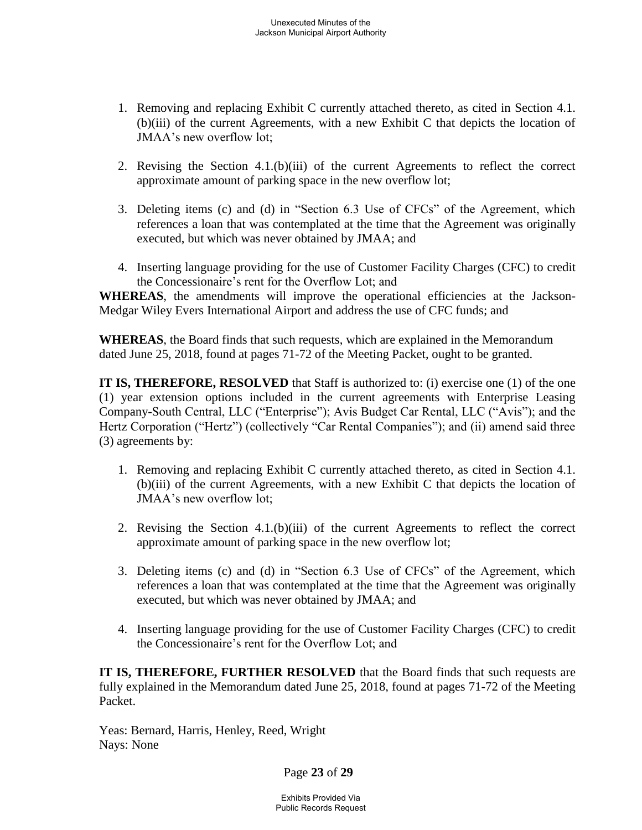- 1. Removing and replacing Exhibit C currently attached thereto, as cited in Section 4.1. (b)(iii) of the current Agreements, with a new Exhibit C that depicts the location of JMAA's new overflow lot;
- 2. Revising the Section 4.1.(b)(iii) of the current Agreements to reflect the correct approximate amount of parking space in the new overflow lot;
- 3. Deleting items (c) and (d) in "Section 6.3 Use of CFCs" of the Agreement, which references a loan that was contemplated at the time that the Agreement was originally executed, but which was never obtained by JMAA; and
- 4. Inserting language providing for the use of Customer Facility Charges (CFC) to credit the Concessionaire's rent for the Overflow Lot; and

WHEREAS, the amendments will improve the operational efficiencies at the Jackson-Medgar Wiley Evers International Airport and address the use of CFC funds; and

**WHEREAS**, the Board finds that such requests, which are explained in the Memorandum dated June 25, 2018, found at pages 71-72 of the Meeting Packet, ought to be granted.

**IT IS, THEREFORE, RESOLVED** that Staff is authorized to: (i) exercise one (1) of the one (1) year extension options included in the current agreements with Enterprise Leasing Company-South Central, LLC ("Enterprise"); Avis Budget Car Rental, LLC ("Avis"); and the Hertz Corporation ("Hertz") (collectively "Car Rental Companies"); and (ii) amend said three (3) agreements by:

- 1. Removing and replacing Exhibit C currently attached thereto, as cited in Section 4.1. (b)(iii) of the current Agreements, with a new Exhibit C that depicts the location of JMAA's new overflow lot;
- 2. Revising the Section 4.1.(b)(iii) of the current Agreements to reflect the correct approximate amount of parking space in the new overflow lot;
- 3. Deleting items (c) and (d) in "Section 6.3 Use of CFCs" of the Agreement, which references a loan that was contemplated at the time that the Agreement was originally executed, but which was never obtained by JMAA; and
- 4. Inserting language providing for the use of Customer Facility Charges (CFC) to credit the Concessionaire's rent for the Overflow Lot; and

**IT IS, THEREFORE, FURTHER RESOLVED** that the Board finds that such requests are fully explained in the Memorandum dated June 25, 2018, found at pages 71-72 of the Meeting Packet.

Yeas: Bernard, Harris, Henley, Reed, Wright Nays: None

Page **23** of **29**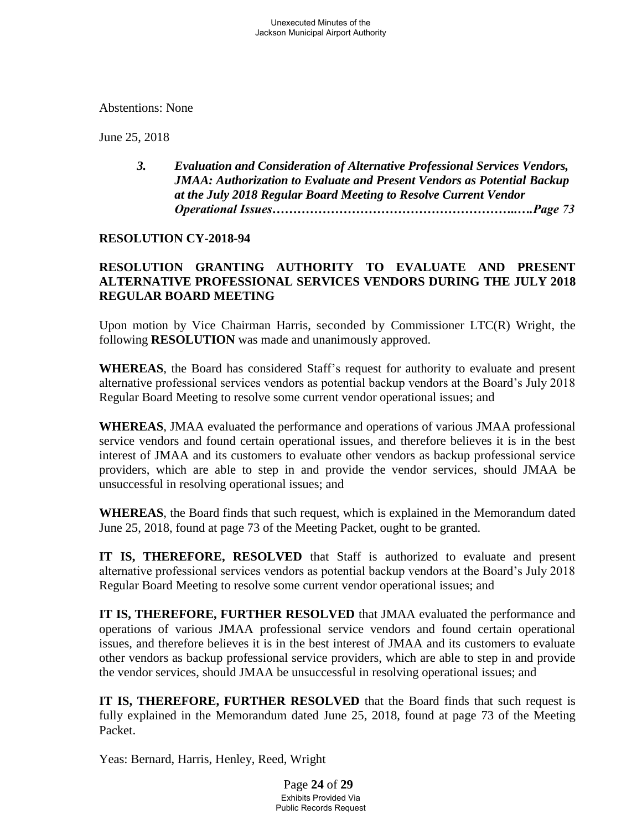Abstentions: None

June 25, 2018

*3. Evaluation and Consideration of Alternative Professional Services Vendors, JMAA: Authorization to Evaluate and Present Vendors as Potential Backup at the July 2018 Regular Board Meeting to Resolve Current Vendor Operational Issues…………………………………………………..….Page 73*

### **RESOLUTION CY-2018-94**

# **RESOLUTION GRANTING AUTHORITY TO EVALUATE AND PRESENT ALTERNATIVE PROFESSIONAL SERVICES VENDORS DURING THE JULY 2018 REGULAR BOARD MEETING**

Upon motion by Vice Chairman Harris, seconded by Commissioner LTC(R) Wright, the following **RESOLUTION** was made and unanimously approved.

**WHEREAS**, the Board has considered Staff's request for authority to evaluate and present alternative professional services vendors as potential backup vendors at the Board's July 2018 Regular Board Meeting to resolve some current vendor operational issues; and

**WHEREAS**, JMAA evaluated the performance and operations of various JMAA professional service vendors and found certain operational issues, and therefore believes it is in the best interest of JMAA and its customers to evaluate other vendors as backup professional service providers, which are able to step in and provide the vendor services, should JMAA be unsuccessful in resolving operational issues; and

**WHEREAS**, the Board finds that such request, which is explained in the Memorandum dated June 25, 2018, found at page 73 of the Meeting Packet, ought to be granted.

**IT IS, THEREFORE, RESOLVED** that Staff is authorized to evaluate and present alternative professional services vendors as potential backup vendors at the Board's July 2018 Regular Board Meeting to resolve some current vendor operational issues; and

**IT IS, THEREFORE, FURTHER RESOLVED** that JMAA evaluated the performance and operations of various JMAA professional service vendors and found certain operational issues, and therefore believes it is in the best interest of JMAA and its customers to evaluate other vendors as backup professional service providers, which are able to step in and provide the vendor services, should JMAA be unsuccessful in resolving operational issues; and

**IT IS, THEREFORE, FURTHER RESOLVED** that the Board finds that such request is fully explained in the Memorandum dated June 25, 2018, found at page 73 of the Meeting Packet.

Yeas: Bernard, Harris, Henley, Reed, Wright

Page **24** of **29** Exhibits Provided Via Public Records Request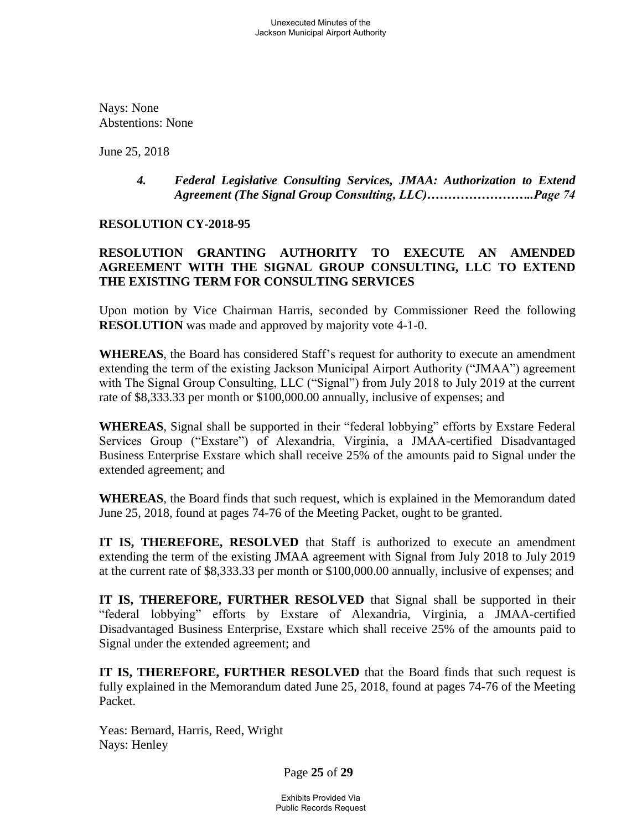Nays: None Abstentions: None

June 25, 2018

### *4. Federal Legislative Consulting Services, JMAA: Authorization to Extend Agreement (The Signal Group Consulting, LLC)……………………..Page 74*

### **RESOLUTION CY-2018-95**

# **RESOLUTION GRANTING AUTHORITY TO EXECUTE AN AMENDED AGREEMENT WITH THE SIGNAL GROUP CONSULTING, LLC TO EXTEND THE EXISTING TERM FOR CONSULTING SERVICES**

Upon motion by Vice Chairman Harris, seconded by Commissioner Reed the following **RESOLUTION** was made and approved by majority vote 4-1-0.

**WHEREAS**, the Board has considered Staff's request for authority to execute an amendment extending the term of the existing Jackson Municipal Airport Authority ("JMAA") agreement with The Signal Group Consulting, LLC ("Signal") from July 2018 to July 2019 at the current rate of \$8,333.33 per month or \$100,000.00 annually, inclusive of expenses; and

**WHEREAS**, Signal shall be supported in their "federal lobbying" efforts by Exstare Federal Services Group ("Exstare") of Alexandria, Virginia, a JMAA-certified Disadvantaged Business Enterprise Exstare which shall receive 25% of the amounts paid to Signal under the extended agreement; and

**WHEREAS**, the Board finds that such request, which is explained in the Memorandum dated June 25, 2018, found at pages 74-76 of the Meeting Packet, ought to be granted.

**IT IS, THEREFORE, RESOLVED** that Staff is authorized to execute an amendment extending the term of the existing JMAA agreement with Signal from July 2018 to July 2019 at the current rate of \$8,333.33 per month or \$100,000.00 annually, inclusive of expenses; and

**IT IS, THEREFORE, FURTHER RESOLVED** that Signal shall be supported in their "federal lobbying" efforts by Exstare of Alexandria, Virginia, a JMAA-certified Disadvantaged Business Enterprise, Exstare which shall receive 25% of the amounts paid to Signal under the extended agreement; and

**IT IS, THEREFORE, FURTHER RESOLVED** that the Board finds that such request is fully explained in the Memorandum dated June 25, 2018, found at pages 74-76 of the Meeting Packet.

Yeas: Bernard, Harris, Reed, Wright Nays: Henley

Page **25** of **29**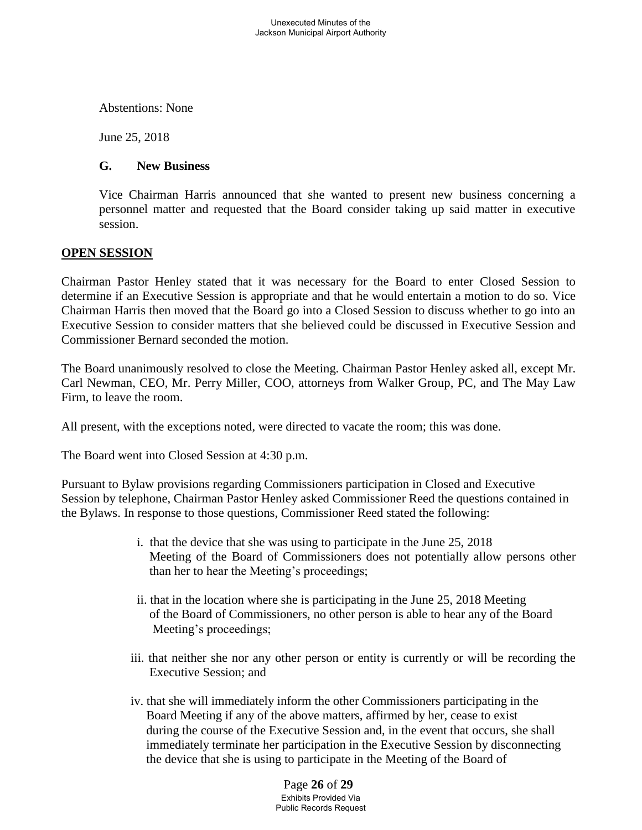Abstentions: None

June 25, 2018

#### **G. New Business**

Vice Chairman Harris announced that she wanted to present new business concerning a personnel matter and requested that the Board consider taking up said matter in executive session.

### **OPEN SESSION**

Chairman Pastor Henley stated that it was necessary for the Board to enter Closed Session to determine if an Executive Session is appropriate and that he would entertain a motion to do so. Vice Chairman Harris then moved that the Board go into a Closed Session to discuss whether to go into an Executive Session to consider matters that she believed could be discussed in Executive Session and Commissioner Bernard seconded the motion.

The Board unanimously resolved to close the Meeting. Chairman Pastor Henley asked all, except Mr. Carl Newman, CEO, Mr. Perry Miller, COO, attorneys from Walker Group, PC, and The May Law Firm, to leave the room.

All present, with the exceptions noted, were directed to vacate the room; this was done.

The Board went into Closed Session at 4:30 p.m.

Pursuant to Bylaw provisions regarding Commissioners participation in Closed and Executive Session by telephone, Chairman Pastor Henley asked Commissioner Reed the questions contained in the Bylaws. In response to those questions, Commissioner Reed stated the following:

- i. that the device that she was using to participate in the June 25, 2018 Meeting of the Board of Commissioners does not potentially allow persons other than her to hear the Meeting's proceedings;
- ii. that in the location where she is participating in the June 25, 2018 Meeting of the Board of Commissioners, no other person is able to hear any of the Board Meeting's proceedings;
- iii. that neither she nor any other person or entity is currently or will be recording the Executive Session; and
- iv. that she will immediately inform the other Commissioners participating in the Board Meeting if any of the above matters, affirmed by her, cease to exist during the course of the Executive Session and, in the event that occurs, she shall immediately terminate her participation in the Executive Session by disconnecting the device that she is using to participate in the Meeting of the Board of

Page **26** of **29** Exhibits Provided Via Public Records Request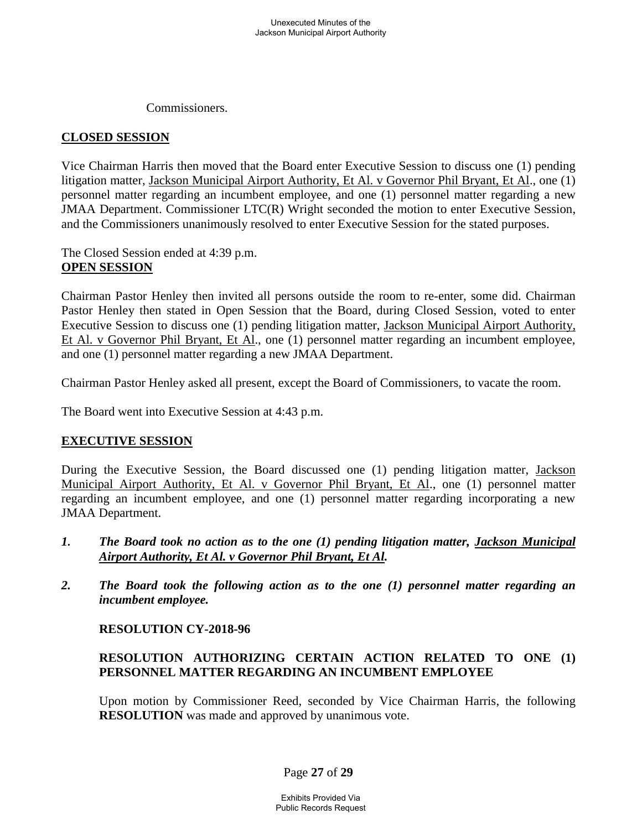Commissioners.

### **CLOSED SESSION**

Vice Chairman Harris then moved that the Board enter Executive Session to discuss one (1) pending litigation matter, Jackson Municipal Airport Authority, Et Al. v Governor Phil Bryant, Et Al., one (1) personnel matter regarding an incumbent employee, and one (1) personnel matter regarding a new JMAA Department. Commissioner LTC(R) Wright seconded the motion to enter Executive Session, and the Commissioners unanimously resolved to enter Executive Session for the stated purposes.

The Closed Session ended at 4:39 p.m. **OPEN SESSION**

Chairman Pastor Henley then invited all persons outside the room to re-enter, some did. Chairman Pastor Henley then stated in Open Session that the Board, during Closed Session, voted to enter Executive Session to discuss one (1) pending litigation matter, Jackson Municipal Airport Authority, Et Al. v Governor Phil Bryant, Et Al., one (1) personnel matter regarding an incumbent employee, and one (1) personnel matter regarding a new JMAA Department.

Chairman Pastor Henley asked all present, except the Board of Commissioners, to vacate the room.

The Board went into Executive Session at 4:43 p.m.

#### **EXECUTIVE SESSION**

During the Executive Session, the Board discussed one (1) pending litigation matter, Jackson Municipal Airport Authority, Et Al. v Governor Phil Bryant, Et Al., one (1) personnel matter regarding an incumbent employee, and one (1) personnel matter regarding incorporating a new JMAA Department.

- *1. The Board took no action as to the one (1) pending litigation matter, Jackson Municipal Airport Authority, Et Al. v Governor Phil Bryant, Et Al.*
- *2. The Board took the following action as to the one (1) personnel matter regarding an incumbent employee.*

#### **RESOLUTION CY-2018-96**

### **RESOLUTION AUTHORIZING CERTAIN ACTION RELATED TO ONE (1) PERSONNEL MATTER REGARDING AN INCUMBENT EMPLOYEE**

Upon motion by Commissioner Reed, seconded by Vice Chairman Harris, the following **RESOLUTION** was made and approved by unanimous vote.

Page **27** of **29**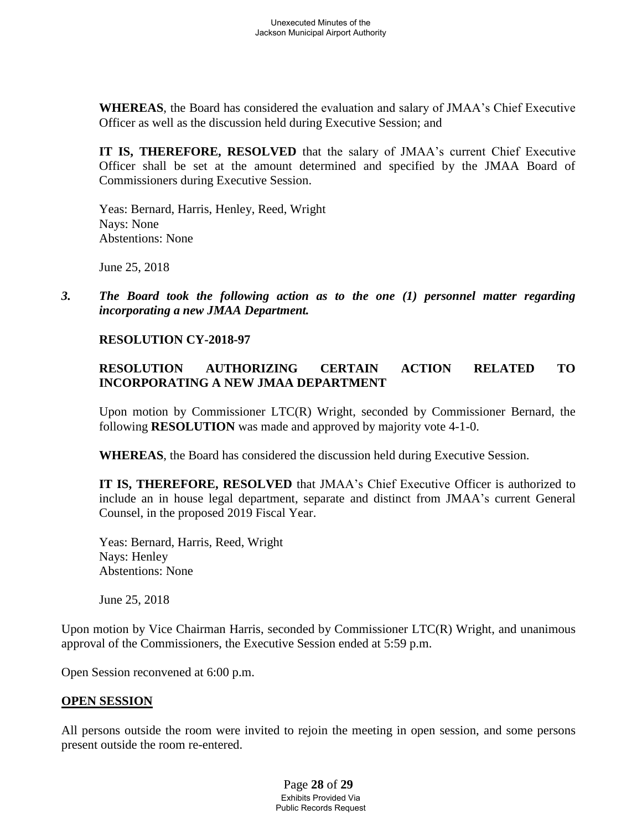**WHEREAS**, the Board has considered the evaluation and salary of JMAA's Chief Executive Officer as well as the discussion held during Executive Session; and

**IT IS, THEREFORE, RESOLVED** that the salary of JMAA's current Chief Executive Officer shall be set at the amount determined and specified by the JMAA Board of Commissioners during Executive Session.

Yeas: Bernard, Harris, Henley, Reed, Wright Nays: None Abstentions: None

June 25, 2018

*3. The Board took the following action as to the one (1) personnel matter regarding incorporating a new JMAA Department.*

## **RESOLUTION CY-2018-97**

# **RESOLUTION AUTHORIZING CERTAIN ACTION RELATED TO INCORPORATING A NEW JMAA DEPARTMENT**

Upon motion by Commissioner LTC(R) Wright, seconded by Commissioner Bernard, the following **RESOLUTION** was made and approved by majority vote 4-1-0.

**WHEREAS**, the Board has considered the discussion held during Executive Session.

**IT IS, THEREFORE, RESOLVED** that JMAA's Chief Executive Officer is authorized to include an in house legal department, separate and distinct from JMAA's current General Counsel, in the proposed 2019 Fiscal Year.

Yeas: Bernard, Harris, Reed, Wright Nays: Henley Abstentions: None

June 25, 2018

Upon motion by Vice Chairman Harris, seconded by Commissioner LTC(R) Wright, and unanimous approval of the Commissioners, the Executive Session ended at 5:59 p.m.

Open Session reconvened at 6:00 p.m.

## **OPEN SESSION**

All persons outside the room were invited to rejoin the meeting in open session, and some persons present outside the room re-entered.

> Page **28** of **29** Exhibits Provided Via Public Records Request